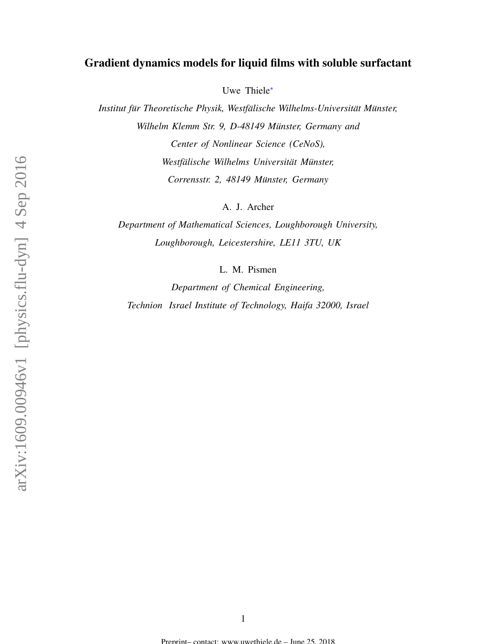# Gradient dynamics models for liquid films with soluble surfactant

Uwe Thiele[∗](#page-1-0)

*Institut für Theoretische Physik, Westfälische Wilhelms-Universität Münster, Wilhelm Klemm Str. 9, D-48149 Münster, Germany and Center of Nonlinear Science (CeNoS), Westfälische Wilhelms Universität Münster, Corrensstr. 2, 48149 Munster, Germany ¨*

A. J. Archer

*Department of Mathematical Sciences, Loughborough University, Loughborough, Leicestershire, LE11 3TU, UK*

L. M. Pismen

*Department of Chemical Engineering, Technion Israel Institute of Technology, Haifa 32000, Israel*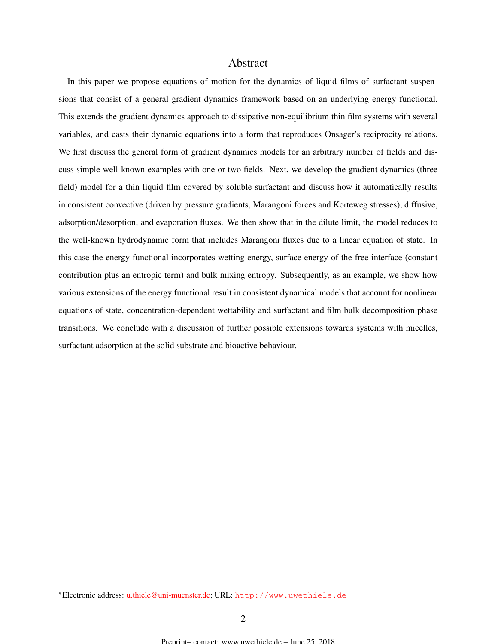## Abstract

<span id="page-1-0"></span>In this paper we propose equations of motion for the dynamics of liquid films of surfactant suspensions that consist of a general gradient dynamics framework based on an underlying energy functional. This extends the gradient dynamics approach to dissipative non-equilibrium thin film systems with several variables, and casts their dynamic equations into a form that reproduces Onsager's reciprocity relations. We first discuss the general form of gradient dynamics models for an arbitrary number of fields and discuss simple well-known examples with one or two fields. Next, we develop the gradient dynamics (three field) model for a thin liquid film covered by soluble surfactant and discuss how it automatically results in consistent convective (driven by pressure gradients, Marangoni forces and Korteweg stresses), diffusive, adsorption/desorption, and evaporation fluxes. We then show that in the dilute limit, the model reduces to the well-known hydrodynamic form that includes Marangoni fluxes due to a linear equation of state. In this case the energy functional incorporates wetting energy, surface energy of the free interface (constant contribution plus an entropic term) and bulk mixing entropy. Subsequently, as an example, we show how various extensions of the energy functional result in consistent dynamical models that account for nonlinear equations of state, concentration-dependent wettability and surfactant and film bulk decomposition phase transitions. We conclude with a discussion of further possible extensions towards systems with micelles, surfactant adsorption at the solid substrate and bioactive behaviour.

<sup>∗</sup>Electronic address: [u.thiele@uni-muenster.de;](mailto:u.thiele@uni-muenster.de) URL: <http://www.uwethiele.de>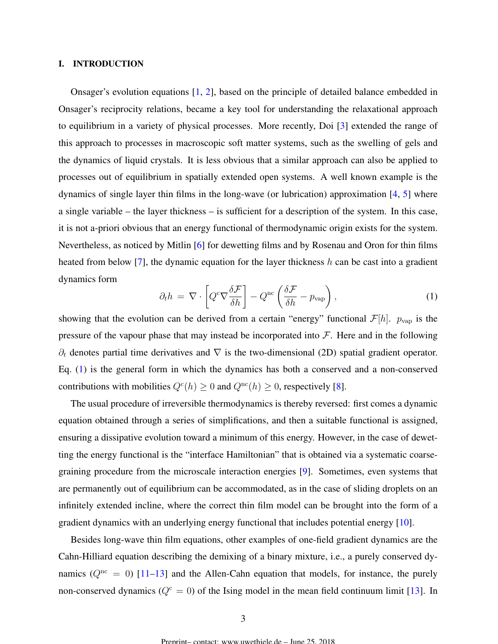## <span id="page-2-0"></span>I. INTRODUCTION

Onsager's evolution equations [\[1,](#page-37-0) [2\]](#page-37-0), based on the principle of detailed balance embedded in Onsager's reciprocity relations, became a key tool for understanding the relaxational approach to equilibrium in a variety of physical processes. More recently, Doi [\[3\]](#page-37-0) extended the range of this approach to processes in macroscopic soft matter systems, such as the swelling of gels and the dynamics of liquid crystals. It is less obvious that a similar approach can also be applied to processes out of equilibrium in spatially extended open systems. A well known example is the dynamics of single layer thin films in the long-wave (or lubrication) approximation [\[4,](#page-37-0) [5\]](#page-38-0) where a single variable – the layer thickness – is sufficient for a description of the system. In this case, it is not a-priori obvious that an energy functional of thermodynamic origin exists for the system. Nevertheless, as noticed by Mitlin [\[6\]](#page-38-0) for dewetting films and by Rosenau and Oron for thin films heated from below [\[7\]](#page-38-0), the dynamic equation for the layer thickness  $h$  can be cast into a gradient dynamics form

$$
\partial_t h = \nabla \cdot \left[ Q^c \nabla \frac{\delta \mathcal{F}}{\delta h} \right] - Q^{\text{nc}} \left( \frac{\delta \mathcal{F}}{\delta h} - p_{\text{vap}} \right), \tag{1}
$$

showing that the evolution can be derived from a certain "energy" functional  $\mathcal{F}[h]$ .  $p_{\text{vap}}$  is the pressure of the vapour phase that may instead be incorporated into  $\mathcal F$ . Here and in the following  $\partial_t$  denotes partial time derivatives and  $\nabla$  is the two-dimensional (2D) spatial gradient operator. Eq. (1) is the general form in which the dynamics has both a conserved and a non-conserved contributions with mobilities  $Q^c(h) \ge 0$  and  $Q^{nc}(h) \ge 0$ , respectively [\[8\]](#page-38-0).

The usual procedure of irreversible thermodynamics is thereby reversed: first comes a dynamic equation obtained through a series of simplifications, and then a suitable functional is assigned, ensuring a dissipative evolution toward a minimum of this energy. However, in the case of dewetting the energy functional is the "interface Hamiltonian" that is obtained via a systematic coarsegraining procedure from the microscale interaction energies [\[9\]](#page-38-0). Sometimes, even systems that are permanently out of equilibrium can be accommodated, as in the case of sliding droplets on an infinitely extended incline, where the correct thin film model can be brought into the form of a gradient dynamics with an underlying energy functional that includes potential energy [\[10\]](#page-38-0).

Besides long-wave thin film equations, other examples of one-field gradient dynamics are the Cahn-Hilliard equation describing the demixing of a binary mixture, i.e., a purely conserved dynamics ( $Q<sup>nc</sup> = 0$ ) [\[11–13\]](#page-38-0) and the Allen-Cahn equation that models, for instance, the purely non-conserved dynamics ( $Q^c = 0$ ) of the Ising model in the mean field continuum limit [\[13\]](#page-38-0). In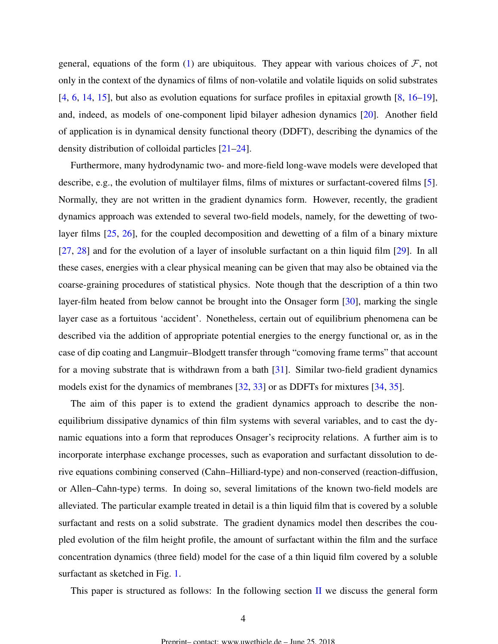general, equations of the form [\(1\)](#page-2-0) are ubiquitous. They appear with various choices of  $\mathcal{F}$ , not only in the context of the dynamics of films of non-volatile and volatile liquids on solid substrates [\[4,](#page-37-0) [6,](#page-38-0) [14,](#page-38-0) [15\]](#page-38-0), but also as evolution equations for surface profiles in epitaxial growth [\[8,](#page-38-0) [16](#page-38-0)[–19\]](#page-39-0), and, indeed, as models of one-component lipid bilayer adhesion dynamics [\[20\]](#page-39-0). Another field of application is in dynamical density functional theory (DDFT), describing the dynamics of the density distribution of colloidal particles [\[21–24\]](#page-39-0).

Furthermore, many hydrodynamic two- and more-field long-wave models were developed that describe, e.g., the evolution of multilayer films, films of mixtures or surfactant-covered films [\[5\]](#page-38-0). Normally, they are not written in the gradient dynamics form. However, recently, the gradient dynamics approach was extended to several two-field models, namely, for the dewetting of twolayer films [\[25,](#page-39-0) [26\]](#page-39-0), for the coupled decomposition and dewetting of a film of a binary mixture [\[27,](#page-39-0) [28\]](#page-39-0) and for the evolution of a layer of insoluble surfactant on a thin liquid film [\[29\]](#page-39-0). In all these cases, energies with a clear physical meaning can be given that may also be obtained via the coarse-graining procedures of statistical physics. Note though that the description of a thin two layer-film heated from below cannot be brought into the Onsager form [\[30\]](#page-39-0), marking the single layer case as a fortuitous 'accident'. Nonetheless, certain out of equilibrium phenomena can be described via the addition of appropriate potential energies to the energy functional or, as in the case of dip coating and Langmuir–Blodgett transfer through "comoving frame terms" that account for a moving substrate that is withdrawn from a bath [\[31\]](#page-39-0). Similar two-field gradient dynamics models exist for the dynamics of membranes [\[32,](#page-39-0) [33\]](#page-40-0) or as DDFTs for mixtures [\[34,](#page-40-0) [35\]](#page-40-0).

The aim of this paper is to extend the gradient dynamics approach to describe the nonequilibrium dissipative dynamics of thin film systems with several variables, and to cast the dynamic equations into a form that reproduces Onsager's reciprocity relations. A further aim is to incorporate interphase exchange processes, such as evaporation and surfactant dissolution to derive equations combining conserved (Cahn–Hilliard-type) and non-conserved (reaction-diffusion, or Allen–Cahn-type) terms. In doing so, several limitations of the known two-field models are alleviated. The particular example treated in detail is a thin liquid film that is covered by a soluble surfactant and rests on a solid substrate. The gradient dynamics model then describes the coupled evolution of the film height profile, the amount of surfactant within the film and the surface concentration dynamics (three field) model for the case of a thin liquid film covered by a soluble surfactant as sketched in Fig. [1.](#page-4-0)

This paper is structured as follows: In the following section  $\Pi$  we discuss the general form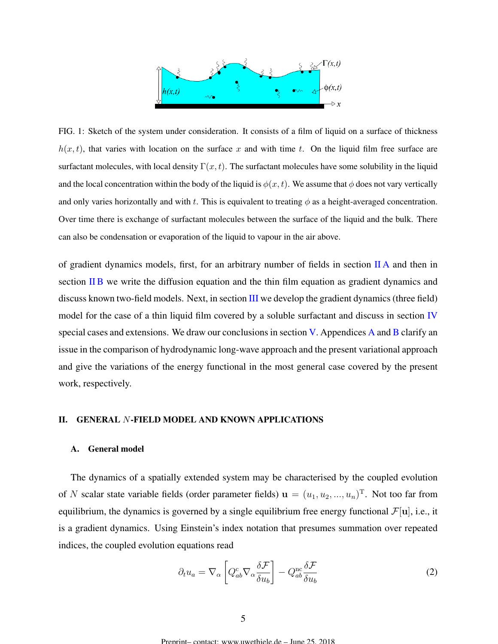

<span id="page-4-0"></span>FIG. 1: Sketch of the system under consideration. It consists of a film of liquid on a surface of thickness  $h(x, t)$ , that varies with location on the surface x and with time t. On the liquid film free surface are surfactant molecules, with local density  $\Gamma(x, t)$ . The surfactant molecules have some solubility in the liquid and the local concentration within the body of the liquid is  $\phi(x, t)$ . We assume that  $\phi$  does not vary vertically and only varies horizontally and with t. This is equivalent to treating  $\phi$  as a height-averaged concentration. Over time there is exchange of surfactant molecules between the surface of the liquid and the bulk. There can also be condensation or evaporation of the liquid to vapour in the air above.

of gradient dynamics models, first, for an arbitrary number of fields in section II A and then in section [II B](#page-6-0) we write the diffusion equation and the thin film equation as gradient dynamics and discuss known two-field models. Next, in section [III](#page-9-0) we develop the gradient dynamics (three field) model for the case of a thin liquid film covered by a soluble surfactant and discuss in section [IV](#page-20-0) special cases and extensions. We draw our conclusions in section [V.](#page-27-0) [A](#page-32-0)ppendices A and [B](#page-34-0) clarify an issue in the comparison of hydrodynamic long-wave approach and the present variational approach and give the variations of the energy functional in the most general case covered by the present work, respectively.

## II. GENERAL N-FIELD MODEL AND KNOWN APPLICATIONS

## A. General model

The dynamics of a spatially extended system may be characterised by the coupled evolution of N scalar state variable fields (order parameter fields)  $\mathbf{u} = (u_1, u_2, ..., u_n)^\text{T}$ . Not too far from equilibrium, the dynamics is governed by a single equilibrium free energy functional  $\mathcal{F}[\mathbf{u}]$ , i.e., it is a gradient dynamics. Using Einstein's index notation that presumes summation over repeated indices, the coupled evolution equations read

$$
\partial_t u_a = \nabla_\alpha \left[ Q_{ab}^c \nabla_\alpha \frac{\delta \mathcal{F}}{\delta u_b} \right] - Q_{ab}^{\text{nc}} \frac{\delta \mathcal{F}}{\delta u_b} \tag{2}
$$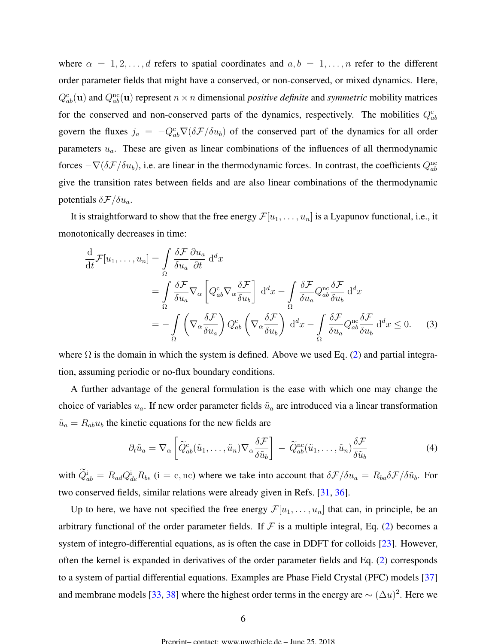<span id="page-5-0"></span>where  $\alpha = 1, 2, \ldots, d$  refers to spatial coordinates and  $a, b = 1, \ldots, n$  refer to the different order parameter fields that might have a conserved, or non-conserved, or mixed dynamics. Here,  $Q_{ab}^{\rm c}(\mathbf{u})$  and  $Q_{ab}^{\rm nc}(\mathbf{u})$  represent  $n \times n$  dimensional *positive definite* and *symmetric* mobility matrices for the conserved and non-conserved parts of the dynamics, respectively. The mobilities  $Q_{ab}^c$ govern the fluxes  $j_a = -Q_{ab}^c \nabla (\delta \mathcal{F}/\delta u_b)$  of the conserved part of the dynamics for all order parameters  $u_a$ . These are given as linear combinations of the influences of all thermodynamic forces  $-\nabla(\delta \mathcal{F}/\delta u_b)$ , i.e. are linear in the thermodynamic forces. In contrast, the coefficients  $Q_{ab}^{\text{nc}}$ give the transition rates between fields and are also linear combinations of the thermodynamic potentials  $\delta \mathcal{F}/\delta u_a$ .

It is straightforward to show that the free energy  $\mathcal{F}[u_1, \ldots, u_n]$  is a Lyapunov functional, i.e., it monotonically decreases in time:

$$
\frac{d}{dt}\mathcal{F}[u_1,\ldots,u_n] = \int_{\Omega} \frac{\delta \mathcal{F}}{\delta u_a} \frac{\partial u_a}{\partial t} d^d x \n= \int_{\Omega} \frac{\delta \mathcal{F}}{\delta u_a} \nabla_{\alpha} \left[ Q^c_{ab} \nabla_{\alpha} \frac{\delta \mathcal{F}}{\delta u_b} \right] d^d x - \int_{\Omega} \frac{\delta \mathcal{F}}{\delta u_a} Q^{nc}_{ab} \frac{\delta \mathcal{F}}{\delta u_b} d^d x \n= - \int_{\Omega} \left( \nabla_{\alpha} \frac{\delta \mathcal{F}}{\delta u_a} \right) Q^c_{ab} \left( \nabla_{\alpha} \frac{\delta \mathcal{F}}{\delta u_b} \right) d^d x - \int_{\Omega} \frac{\delta \mathcal{F}}{\delta u_a} Q^{nc}_{ab} \frac{\delta \mathcal{F}}{\delta u_b} d^d x \le 0.
$$
\n(3)

where  $\Omega$  is the domain in which the system is defined. Above we used Eq. [\(2\)](#page-4-0) and partial integration, assuming periodic or no-flux boundary conditions.

A further advantage of the general formulation is the ease with which one may change the choice of variables  $u_a$ . If new order parameter fields  $\tilde{u}_a$  are introduced via a linear transformation  $\tilde{u}_a = R_{ab}u_b$  the kinetic equations for the new fields are

$$
\partial_t \tilde{u}_a = \nabla_\alpha \left[ \widetilde{Q}_{ab}^c(\tilde{u}_1, \dots, \tilde{u}_n) \nabla_\alpha \frac{\delta \mathcal{F}}{\delta \tilde{u}_b} \right] - \widetilde{Q}_{ab}^{\text{nc}}(\tilde{u}_1, \dots, \tilde{u}_n) \frac{\delta \mathcal{F}}{\delta \tilde{u}_b} \tag{4}
$$

with  $Q_{ab}^i = R_{ad}Q_{de}^i R_{be}$  (i = c, nc) where we take into account that  $\delta \mathcal{F}/\delta u_a = R_{ba}\delta \mathcal{F}/\delta \tilde{u}_b$ . For two conserved fields, similar relations were already given in Refs. [\[31,](#page-39-0) [36\]](#page-40-0).

Up to here, we have not specified the free energy  $\mathcal{F}[u_1, \ldots, u_n]$  that can, in principle, be an arbitrary functional of the order parameter fields. If  $\mathcal F$  is a multiple integral, Eq. [\(2\)](#page-4-0) becomes a system of integro-differential equations, as is often the case in DDFT for colloids [\[23\]](#page-39-0). However, often the kernel is expanded in derivatives of the order parameter fields and Eq. [\(2\)](#page-4-0) corresponds to a system of partial differential equations. Examples are Phase Field Crystal (PFC) models [\[37\]](#page-40-0) and membrane models [\[33,](#page-40-0) [38\]](#page-40-0) where the highest order terms in the energy are  $\sim (\Delta u)^2$ . Here we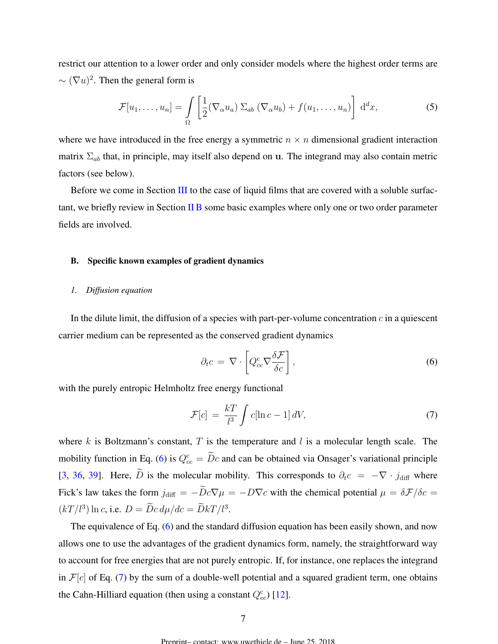<span id="page-6-0"></span>restrict our attention to a lower order and only consider models where the highest order terms are  $\sim (\nabla u)^2$ . Then the general form is

$$
\mathcal{F}[u_1,\ldots,u_n] = \int\limits_{\Omega} \left[\frac{1}{2}(\nabla_\alpha u_a) \Sigma_{ab} (\nabla_\alpha u_b) + f(u_1,\ldots,u_n)\right] d^d x, \tag{5}
$$

where we have introduced in the free energy a symmetric  $n \times n$  dimensional gradient interaction matrix  $\Sigma_{ab}$  that, in principle, may itself also depend on u. The integrand may also contain metric factors (see below).

Before we come in Section [III](#page-9-0) to the case of liquid films that are covered with a soluble surfactant, we briefly review in Section II B some basic examples where only one or two order parameter fields are involved.

## B. Specific known examples of gradient dynamics

## *1. Diffusion equation*

In the dilute limit, the diffusion of a species with part-per-volume concentration  $c$  in a quiescent carrier medium can be represented as the conserved gradient dynamics

$$
\partial_t c = \nabla \cdot \left[ Q_{cc}^c \nabla \frac{\delta \mathcal{F}}{\delta c} \right],\tag{6}
$$

with the purely entropic Helmholtz free energy functional

$$
\mathcal{F}[c] = \frac{kT}{l^3} \int c[\ln c - 1] dV,\tag{7}
$$

where  $k$  is Boltzmann's constant,  $T$  is the temperature and  $l$  is a molecular length scale. The mobility function in Eq. (6) is  $Q_{cc}^c = \overline{D}c$  and can be obtained via Onsager's variational principle [\[3,](#page-37-0) [36,](#page-40-0) [39\]](#page-40-0). Here,  $\tilde{D}$  is the molecular mobility. This corresponds to  $\partial_t c = -\nabla \cdot j_{\text{diff}}$  where Fick's law takes the form  $j_{\text{diff}} = -\tilde{D}c\nabla\mu = -D\nabla c$  with the chemical potential  $\mu = \delta\mathcal{F}/\delta c =$  $(kT/l^3) \ln c$ , i.e.  $D = \tilde{D}c \, d\mu/dc = \tilde{D}kT/l^3$ .

The equivalence of Eq. (6) and the standard diffusion equation has been easily shown, and now allows one to use the advantages of the gradient dynamics form, namely, the straightforward way to account for free energies that are not purely entropic. If, for instance, one replaces the integrand in  $\mathcal{F}[c]$  of Eq. (7) by the sum of a double-well potential and a squared gradient term, one obtains the Cahn-Hilliard equation (then using a constant  $Q_{cc}^c$ ) [\[12\]](#page-38-0).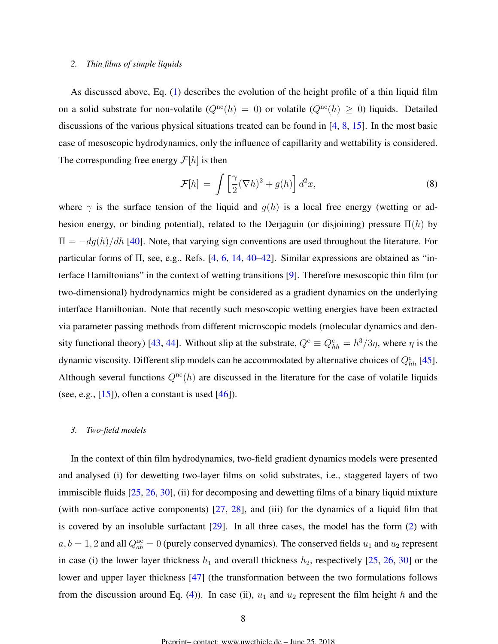## <span id="page-7-0"></span>*2. Thin films of simple liquids*

As discussed above, Eq. [\(1\)](#page-2-0) describes the evolution of the height profile of a thin liquid film on a solid substrate for non-volatile  $(Q^{\text{nc}}(h) = 0)$  or volatile  $(Q^{\text{nc}}(h) \ge 0)$  liquids. Detailed discussions of the various physical situations treated can be found in [\[4,](#page-37-0) [8,](#page-38-0) [15\]](#page-38-0). In the most basic case of mesoscopic hydrodynamics, only the influence of capillarity and wettability is considered. The corresponding free energy  $\mathcal{F}[h]$  is then

$$
\mathcal{F}[h] = \int \left[\frac{\gamma}{2} (\nabla h)^2 + g(h)\right] d^2 x,\tag{8}
$$

where  $\gamma$  is the surface tension of the liquid and  $g(h)$  is a local free energy (wetting or adhesion energy, or binding potential), related to the Derjaguin (or disjoining) pressure  $\Pi(h)$  by  $\Pi = -dg(h)/dh$  [\[40\]](#page-40-0). Note, that varying sign conventions are used throughout the literature. For particular forms of Π, see, e.g., Refs. [\[4,](#page-37-0) [6,](#page-38-0) [14,](#page-38-0) [40–42\]](#page-40-0). Similar expressions are obtained as "interface Hamiltonians" in the context of wetting transitions [\[9\]](#page-38-0). Therefore mesoscopic thin film (or two-dimensional) hydrodynamics might be considered as a gradient dynamics on the underlying interface Hamiltonian. Note that recently such mesoscopic wetting energies have been extracted via parameter passing methods from different microscopic models (molecular dynamics and den-sity functional theory) [\[43,](#page-40-0) [44\]](#page-40-0). Without slip at the substrate,  $Q^c \equiv Q_{hh}^c = h^3/3\eta$ , where  $\eta$  is the dynamic viscosity. Different slip models can be accommodated by alternative choices of  $Q_{hh}^c$  [\[45\]](#page-40-0). Although several functions  $Q^{nc}(h)$  are discussed in the literature for the case of volatile liquids (see, e.g.,  $[15]$ ), often a constant is used  $[46]$ ).

## *3. Two-field models*

In the context of thin film hydrodynamics, two-field gradient dynamics models were presented and analysed (i) for dewetting two-layer films on solid substrates, i.e., staggered layers of two immiscible fluids [\[25,](#page-39-0) [26,](#page-39-0) [30\]](#page-39-0), (ii) for decomposing and dewetting films of a binary liquid mixture (with non-surface active components)  $[27, 28]$  $[27, 28]$  $[27, 28]$ , and (iii) for the dynamics of a liquid film that is covered by an insoluble surfactant  $[29]$ . In all three cases, the model has the form  $(2)$  with  $a, b = 1, 2$  and all  $Q_{ab}^{\text{nc}} = 0$  (purely conserved dynamics). The conserved fields  $u_1$  and  $u_2$  represent in case (i) the lower layer thickness  $h_1$  and overall thickness  $h_2$ , respectively [\[25,](#page-39-0) [26,](#page-39-0) [30\]](#page-39-0) or the lower and upper layer thickness [\[47\]](#page-41-0) (the transformation between the two formulations follows from the discussion around Eq. [\(4\)](#page-5-0)). In case (ii),  $u_1$  and  $u_2$  represent the film height h and the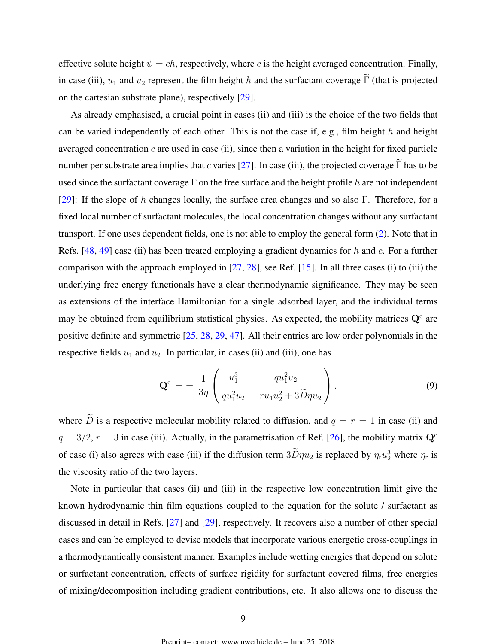effective solute height  $\psi = ch$ , respectively, where c is the height averaged concentration. Finally, in case (iii),  $u_1$  and  $u_2$  represent the film height h and the surfactant coverage  $\tilde{\Gamma}$  (that is projected on the cartesian substrate plane), respectively [\[29\]](#page-39-0).

As already emphasised, a crucial point in cases (ii) and (iii) is the choice of the two fields that can be varied independently of each other. This is not the case if, e.g., film height  $h$  and height averaged concentration  $c$  are used in case (ii), since then a variation in the height for fixed particle number per substrate area implies that c varies [\[27\]](#page-39-0). In case (iii), the projected coverage  $\widetilde{\Gamma}$  has to be used since the surfactant coverage  $\Gamma$  on the free surface and the height profile h are not independent [\[29\]](#page-39-0): If the slope of h changes locally, the surface area changes and so also Γ. Therefore, for a fixed local number of surfactant molecules, the local concentration changes without any surfactant transport. If one uses dependent fields, one is not able to employ the general form [\(2\)](#page-4-0). Note that in Refs.  $[48, 49]$  $[48, 49]$  $[48, 49]$  case (ii) has been treated employing a gradient dynamics for h and c. For a further comparison with the approach employed in [\[27,](#page-39-0) [28\]](#page-39-0), see Ref. [\[15\]](#page-38-0). In all three cases (i) to (iii) the underlying free energy functionals have a clear thermodynamic significance. They may be seen as extensions of the interface Hamiltonian for a single adsorbed layer, and the individual terms may be obtained from equilibrium statistical physics. As expected, the mobility matrices  $Q<sup>c</sup>$  are positive definite and symmetric [\[25,](#page-39-0) [28,](#page-39-0) [29,](#page-39-0) [47\]](#page-41-0). All their entries are low order polynomials in the respective fields  $u_1$  and  $u_2$ . In particular, in cases (ii) and (iii), one has

$$
\mathbf{Q}^{\text{c}} = \frac{1}{3\eta} \begin{pmatrix} u_1^3 & qu_1^2 u_2 \\ qu_1^2 u_2 & ru_1 u_2^2 + 3\widetilde{D} \eta u_2 \end{pmatrix} . \tag{9}
$$

where  $\tilde{D}$  is a respective molecular mobility related to diffusion, and  $q = r = 1$  in case (ii) and  $q = 3/2$ ,  $r = 3$  in case (iii). Actually, in the parametrisation of Ref. [\[26\]](#page-39-0), the mobility matrix  $Q<sup>c</sup>$ of case (i) also agrees with case (iii) if the diffusion term  $3D\eta u_2$  is replaced by  $\eta_r u_2^3$  where  $\eta_r$  is the viscosity ratio of the two layers.

Note in particular that cases (ii) and (iii) in the respective low concentration limit give the known hydrodynamic thin film equations coupled to the equation for the solute / surfactant as discussed in detail in Refs. [\[27\]](#page-39-0) and [\[29\]](#page-39-0), respectively. It recovers also a number of other special cases and can be employed to devise models that incorporate various energetic cross-couplings in a thermodynamically consistent manner. Examples include wetting energies that depend on solute or surfactant concentration, effects of surface rigidity for surfactant covered films, free energies of mixing/decomposition including gradient contributions, etc. It also allows one to discuss the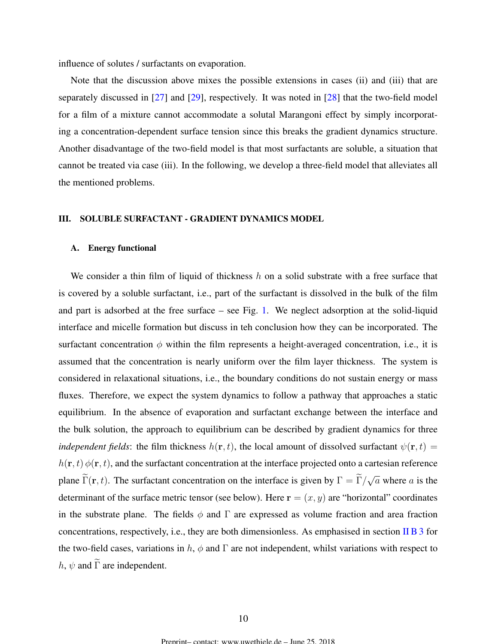<span id="page-9-0"></span>influence of solutes / surfactants on evaporation.

Note that the discussion above mixes the possible extensions in cases (ii) and (iii) that are separately discussed in [\[27\]](#page-39-0) and [\[29\]](#page-39-0), respectively. It was noted in [\[28\]](#page-39-0) that the two-field model for a film of a mixture cannot accommodate a solutal Marangoni effect by simply incorporating a concentration-dependent surface tension since this breaks the gradient dynamics structure. Another disadvantage of the two-field model is that most surfactants are soluble, a situation that cannot be treated via case (iii). In the following, we develop a three-field model that alleviates all the mentioned problems.

## III. SOLUBLE SURFACTANT - GRADIENT DYNAMICS MODEL

## A. Energy functional

We consider a thin film of liquid of thickness  $h$  on a solid substrate with a free surface that is covered by a soluble surfactant, i.e., part of the surfactant is dissolved in the bulk of the film and part is adsorbed at the free surface – see Fig. [1.](#page-4-0) We neglect adsorption at the solid-liquid interface and micelle formation but discuss in teh conclusion how they can be incorporated. The surfactant concentration  $\phi$  within the film represents a height-averaged concentration, i.e., it is assumed that the concentration is nearly uniform over the film layer thickness. The system is considered in relaxational situations, i.e., the boundary conditions do not sustain energy or mass fluxes. Therefore, we expect the system dynamics to follow a pathway that approaches a static equilibrium. In the absence of evaporation and surfactant exchange between the interface and the bulk solution, the approach to equilibrium can be described by gradient dynamics for three *independent fields*: the film thickness  $h(\mathbf{r}, t)$ , the local amount of dissolved surfactant  $\psi(\mathbf{r}, t) =$  $h(\mathbf{r}, t) \phi(\mathbf{r}, t)$ , and the surfactant concentration at the interface projected onto a cartesian reference plane  $\Gamma(\mathbf{r}, t)$ . The surfactant concentration on the interface is given by  $\Gamma = \Gamma / \Gamma$ √  $\overline{a}$  where  $a$  is the determinant of the surface metric tensor (see below). Here  $\mathbf{r} = (x, y)$  are "horizontal" coordinates in the substrate plane. The fields  $\phi$  and  $\Gamma$  are expressed as volume fraction and area fraction concentrations, respectively, i.e., they are both dimensionless. As emphasised in section [II B 3](#page-7-0) for the two-field cases, variations in  $h$ ,  $\phi$  and  $\Gamma$  are not independent, whilst variations with respect to h,  $\psi$  and  $\widetilde{\Gamma}$  are independent.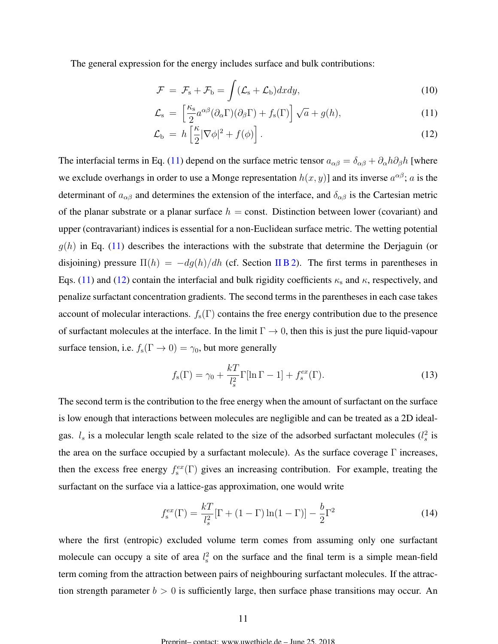<span id="page-10-0"></span>The general expression for the energy includes surface and bulk contributions:

$$
\mathcal{F} = \mathcal{F}_{\rm s} + \mathcal{F}_{\rm b} = \int (\mathcal{L}_{\rm s} + \mathcal{L}_{\rm b}) dx dy, \qquad (10)
$$

$$
\mathcal{L}_{\rm s} = \left[ \frac{\kappa_{\rm s}}{2} a^{\alpha \beta} (\partial_{\alpha} \Gamma)(\partial_{\beta} \Gamma) + f_{\rm s}(\Gamma) \right] \sqrt{a} + g(h), \tag{11}
$$

$$
\mathcal{L}_{\mathrm{b}} = h \left[ \frac{\kappa}{2} |\nabla \phi|^2 + f(\phi) \right]. \tag{12}
$$

The interfacial terms in Eq. (11) depend on the surface metric tensor  $a_{\alpha\beta} = \delta_{\alpha\beta} + \partial_\alpha h \partial_\beta h$  [where we exclude overhangs in order to use a Monge representation  $h(x, y)$  and its inverse  $a^{\alpha\beta}$ ; a is the determinant of  $a_{\alpha\beta}$  and determines the extension of the interface, and  $\delta_{\alpha\beta}$  is the Cartesian metric of the planar substrate or a planar surface  $h = \text{const.}$  Distinction between lower (covariant) and upper (contravariant) indices is essential for a non-Euclidean surface metric. The wetting potential  $q(h)$  in Eq. (11) describes the interactions with the substrate that determine the Derjaguin (or disjoining) pressure  $\Pi(h) = -dg(h)/dh$  (cf. Section [II B 2\)](#page-7-0). The first terms in parentheses in Eqs. (11) and (12) contain the interfacial and bulk rigidity coefficients  $\kappa_s$  and  $\kappa$ , respectively, and penalize surfactant concentration gradients. The second terms in the parentheses in each case takes account of molecular interactions.  $f_s(\Gamma)$  contains the free energy contribution due to the presence of surfactant molecules at the interface. In the limit  $\Gamma \to 0$ , then this is just the pure liquid-vapour surface tension, i.e.  $f_s(\Gamma \to 0) = \gamma_0$ , but more generally

$$
f_{s}(\Gamma) = \gamma_0 + \frac{kT}{l_s^2} \Gamma[\ln \Gamma - 1] + f_s^{ex}(\Gamma). \tag{13}
$$

The second term is the contribution to the free energy when the amount of surfactant on the surface is low enough that interactions between molecules are negligible and can be treated as a 2D idealgas.  $l_s$  is a molecular length scale related to the size of the adsorbed surfactant molecules  $(l_s^2$  is the area on the surface occupied by a surfactant molecule). As the surface coverage Γ increases, then the excess free energy  $f_s^{ex}(\Gamma)$  gives an increasing contribution. For example, treating the surfactant on the surface via a lattice-gas approximation, one would write

$$
f_s^{ex}(\Gamma) = \frac{kT}{l_s^2} [\Gamma + (1 - \Gamma) \ln(1 - \Gamma)] - \frac{b}{2} \Gamma^2
$$
 (14)

where the first (entropic) excluded volume term comes from assuming only one surfactant molecule can occupy a site of area  $l_s^2$  on the surface and the final term is a simple mean-field term coming from the attraction between pairs of neighbouring surfactant molecules. If the attraction strength parameter  $b > 0$  is sufficiently large, then surface phase transitions may occur. An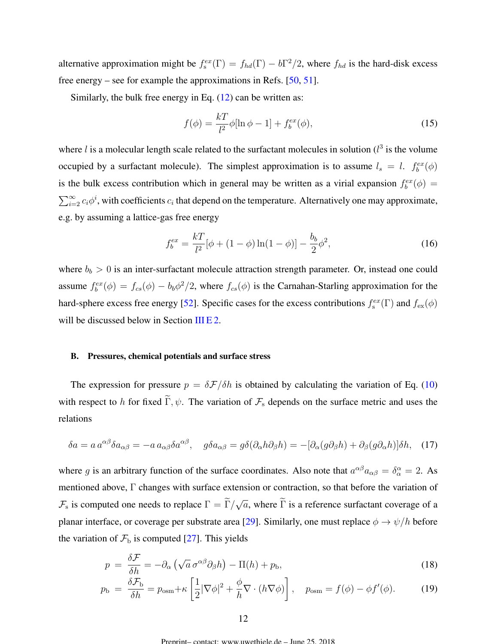<span id="page-11-0"></span>alternative approximation might be  $f_s^{ex}(\Gamma) = f_{hd}(\Gamma) - b\Gamma^2/2$ , where  $f_{hd}$  is the hard-disk excess free energy – see for example the approximations in Refs. [\[50,](#page-41-0) [51\]](#page-41-0).

Similarly, the bulk free energy in Eq. [\(12\)](#page-10-0) can be written as:

$$
f(\phi) = \frac{k}{l^2} \phi[\ln \phi - 1] + f_b^{ex}(\phi),
$$
 (15)

where  $l$  is a molecular length scale related to the surfactant molecules in solution ( $l^3$  is the volume occupied by a surfactant molecule). The simplest approximation is to assume  $l_s = l$ .  $f_b^{ex}(\phi)$ is the bulk excess contribution which in general may be written as a virial expansion  $f_b^{ex}(\phi)$  =  $\sum_{i=2}^{\infty} c_i \phi^i$ , with coefficients  $c_i$  that depend on the temperature. Alternatively one may approximate, e.g. by assuming a lattice-gas free energy

$$
f_b^{ex} = \frac{kT}{l^2} [\phi + (1 - \phi) \ln(1 - \phi)] - \frac{b_b}{2} \phi^2,
$$
 (16)

where  $b_b > 0$  is an inter-surfactant molecule attraction strength parameter. Or, instead one could assume  $f_b^{ex}(\phi) = f_{cs}(\phi) - b_b \phi^2/2$ , where  $f_{cs}(\phi)$  is the Carnahan-Starling approximation for the hard-sphere excess free energy [\[52\]](#page-41-0). Specific cases for the excess contributions  $f_s^{ex}(\Gamma)$  and  $f_{ex}(\phi)$ will be discussed below in Section [III E 2.](#page-17-0)

#### B. Pressures, chemical potentials and surface stress

The expression for pressure  $p = \delta \mathcal{F}/\delta h$  is obtained by calculating the variation of Eq. [\(10\)](#page-10-0) with respect to h for fixed  $\tilde{\Gamma}, \psi$ . The variation of  $\mathcal{F}_s$  depends on the surface metric and uses the relations

$$
\delta a = a \, a^{\alpha\beta} \delta a_{\alpha\beta} = -a \, a_{\alpha\beta} \delta a^{\alpha\beta}, \quad g \delta a_{\alpha\beta} = g \delta (\partial_\alpha h \partial_\beta h) = -[\partial_\alpha (g \partial_\beta h) + \partial_\beta (g \partial_\alpha h)] \delta h, \quad (17)
$$

where g is an arbitrary function of the surface coordinates. Also note that  $a^{\alpha\beta}a_{\alpha\beta} = \delta_\alpha^\alpha = 2$ . As mentioned above, Γ changes with surface extension or contraction, so that before the variation of  $\mathcal{F}_s$  is computed one needs to replace  $\Gamma = \Gamma / \Gamma$ √  $\overline{a}$ , where  $\Gamma$  is a reference surfactant coverage of a planar interface, or coverage per substrate area [\[29\]](#page-39-0). Similarly, one must replace  $\phi \to \psi/h$  before the variation of  $\mathcal{F}_{\text{b}}$  is computed [\[27\]](#page-39-0). This yields

$$
p = \frac{\delta \mathcal{F}}{\delta h} = -\partial_{\alpha} \left( \sqrt{a} \, \sigma^{\alpha \beta} \partial_{\beta} h \right) - \Pi(h) + p_{\rm b},\tag{18}
$$

$$
p_{\rm b} = \frac{\delta \mathcal{F}_{\rm b}}{\delta h} = p_{\rm osm} + \kappa \left[ \frac{1}{2} |\nabla \phi|^2 + \frac{\phi}{h} \nabla \cdot (h \nabla \phi) \right], \quad p_{\rm osm} = f(\phi) - \phi f'(\phi). \tag{19}
$$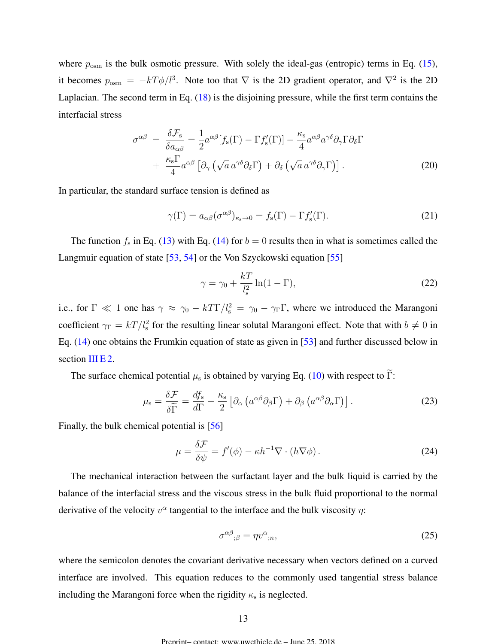<span id="page-12-0"></span>where  $p_{\text{osm}}$  is the bulk osmotic pressure. With solely the ideal-gas (entropic) terms in Eq. [\(15\)](#page-11-0), it becomes  $p_{\text{osm}} = -kT\phi/l^3$ . Note too that  $\nabla$  is the 2D gradient operator, and  $\nabla^2$  is the 2D Laplacian. The second term in Eq. [\(18\)](#page-11-0) is the disjoining pressure, while the first term contains the interfacial stress

$$
\sigma^{\alpha\beta} = \frac{\delta \mathcal{F}_s}{\delta a_{\alpha\beta}} = \frac{1}{2} a^{\alpha\beta} [f_s(\Gamma) - \Gamma f_s'(\Gamma)] - \frac{\kappa_s}{4} a^{\alpha\beta} a^{\gamma\delta} \partial_\gamma \Gamma \partial_\delta \Gamma + \frac{\kappa_s \Gamma}{4} a^{\alpha\beta} [\partial_\gamma (\sqrt{a} a^{\gamma\delta} \partial_\delta \Gamma) + \partial_\delta (\sqrt{a} a^{\gamma\delta} \partial_\gamma \Gamma)].
$$
\n(20)

In particular, the standard surface tension is defined as

$$
\gamma(\Gamma) = a_{\alpha\beta} (\sigma^{\alpha\beta})_{\kappa_{\rm s}\to 0} = f_{\rm s}(\Gamma) - \Gamma f_{\rm s}'(\Gamma). \tag{21}
$$

The function  $f_s$  in Eq. [\(13\)](#page-10-0) with Eq. [\(14\)](#page-10-0) for  $b = 0$  results then in what is sometimes called the Langmuir equation of state [\[53,](#page-41-0) [54\]](#page-41-0) or the Von Szyckowski equation [\[55\]](#page-41-0)

$$
\gamma = \gamma_0 + \frac{k}{l_s^2} \ln(1 - \Gamma),\tag{22}
$$

i.e., for  $\Gamma \ll 1$  one has  $\gamma \approx \gamma_0 - kT\Gamma/l_s^2 = \gamma_0 - \gamma_\Gamma \Gamma$ , where we introduced the Marangoni coefficient  $\gamma_{\Gamma} = kT/l_s^2$  for the resulting linear solutal Marangoni effect. Note that with  $b \neq 0$  in Eq. [\(14\)](#page-10-0) one obtains the Frumkin equation of state as given in [\[53\]](#page-41-0) and further discussed below in section [III E 2.](#page-17-0)

The surface chemical potential  $\mu_s$  is obtained by varying Eq. [\(10\)](#page-10-0) with respect to  $\Gamma$ :

$$
\mu_{\rm s} = \frac{\delta \mathcal{F}}{\delta \widetilde{\Gamma}} = \frac{df_{\rm s}}{d\Gamma} - \frac{\kappa_{\rm s}}{2} \left[ \partial_{\alpha} \left( a^{\alpha \beta} \partial_{\beta} \Gamma \right) + \partial_{\beta} \left( a^{\alpha \beta} \partial_{\alpha} \Gamma \right) \right]. \tag{23}
$$

Finally, the bulk chemical potential is [\[56\]](#page-41-0)

$$
\mu = \frac{\delta \mathcal{F}}{\delta \psi} = f'(\phi) - \kappa h^{-1} \nabla \cdot (h \nabla \phi). \tag{24}
$$

The mechanical interaction between the surfactant layer and the bulk liquid is carried by the balance of the interfacial stress and the viscous stress in the bulk fluid proportional to the normal derivative of the velocity  $v^{\alpha}$  tangential to the interface and the bulk viscosity  $\eta$ :

$$
\sigma^{\alpha\beta}{}_{;\beta} = \eta v^{\alpha}{}_{;n},\tag{25}
$$

where the semicolon denotes the covariant derivative necessary when vectors defined on a curved interface are involved. This equation reduces to the commonly used tangential stress balance including the Marangoni force when the rigidity  $\kappa_{\rm s}$  is neglected.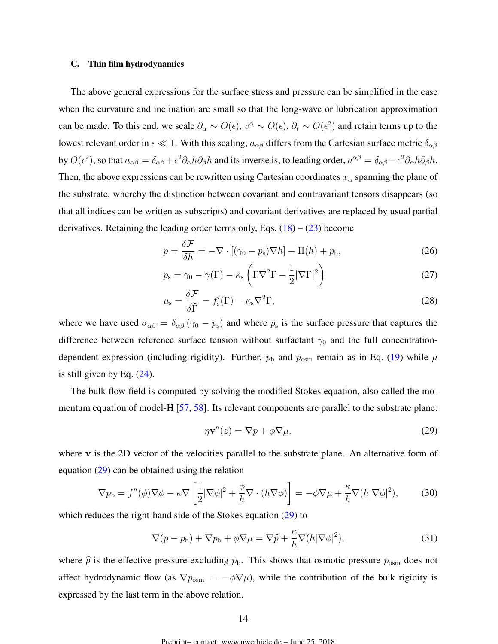## <span id="page-13-0"></span>C. Thin film hydrodynamics

The above general expressions for the surface stress and pressure can be simplified in the case when the curvature and inclination are small so that the long-wave or lubrication approximation can be made. To this end, we scale  $\partial_\alpha \sim O(\epsilon)$ ,  $v^\alpha \sim O(\epsilon)$ ,  $\partial_t \sim O(\epsilon^2)$  and retain terms up to the lowest relevant order in  $\epsilon \ll 1$ . With this scaling,  $a_{\alpha\beta}$  differs from the Cartesian surface metric  $\delta_{\alpha\beta}$ by  $O(\epsilon^2)$ , so that  $a_{\alpha\beta} = \delta_{\alpha\beta} + \epsilon^2 \partial_\alpha h \partial_\beta h$  and its inverse is, to leading order,  $a^{\alpha\beta} = \delta_{\alpha\beta} - \epsilon^2 \partial_\alpha h \partial_\beta h$ . Then, the above expressions can be rewritten using Cartesian coordinates  $x_{\alpha}$  spanning the plane of the substrate, whereby the distinction between covariant and contravariant tensors disappears (so that all indices can be written as subscripts) and covariant derivatives are replaced by usual partial derivatives. Retaining the leading order terms only, Eqs.  $(18) - (23)$  $(18) - (23)$  $(18) - (23)$  become

$$
p = \frac{\delta \mathcal{F}}{\delta h} = -\nabla \cdot [(\gamma_0 - p_s) \nabla h] - \Pi(h) + p_b,
$$
\n(26)

$$
p_{\rm s} = \gamma_0 - \gamma(\Gamma) - \kappa_{\rm s} \left( \Gamma \nabla^2 \Gamma - \frac{1}{2} |\nabla \Gamma|^2 \right) \tag{27}
$$

$$
\mu_{\rm s} = \frac{\delta \mathcal{F}}{\delta \widetilde{\Gamma}} = f_{\rm s}'(\Gamma) - \kappa_{\rm s} \nabla^2 \Gamma,\tag{28}
$$

where we have used  $\sigma_{\alpha\beta} = \delta_{\alpha\beta} (\gamma_0 - p_s)$  and where  $p_s$  is the surface pressure that captures the difference between reference surface tension without surfactant  $\gamma_0$  and the full concentrationdependent expression (including rigidity). Further,  $p_b$  and  $p_{osm}$  remain as in Eq. [\(19\)](#page-11-0) while  $\mu$ is still given by Eq. [\(24\)](#page-12-0).

The bulk flow field is computed by solving the modified Stokes equation, also called the momentum equation of model-H [\[57,](#page-41-0) [58\]](#page-41-0). Its relevant components are parallel to the substrate plane:

$$
\eta \mathbf{v}''(z) = \nabla p + \phi \nabla \mu. \tag{29}
$$

where v is the 2D vector of the velocities parallel to the substrate plane. An alternative form of equation (29) can be obtained using the relation

$$
\nabla p_{\rm b} = f''(\phi)\nabla\phi - \kappa\nabla\left[\frac{1}{2}|\nabla\phi|^2 + \frac{\phi}{h}\nabla\cdot(h\nabla\phi)\right] = -\phi\nabla\mu + \frac{\kappa}{h}\nabla(h|\nabla\phi|^2),\tag{30}
$$

which reduces the right-hand side of the Stokes equation (29) to

$$
\nabla (p - p_{\rm b}) + \nabla p_{\rm b} + \phi \nabla \mu = \nabla \widehat{p} + \frac{\kappa}{h} \nabla (h |\nabla \phi|^2), \tag{31}
$$

where  $\hat{p}$  is the effective pressure excluding  $p_{\rm b}$ . This shows that osmotic pressure  $p_{\rm osm}$  does not affect hydrodynamic flow (as  $\nabla p_{\text{osm}} = -\phi \nabla \mu$ ), while the contribution of the bulk rigidity is expressed by the last term in the above relation.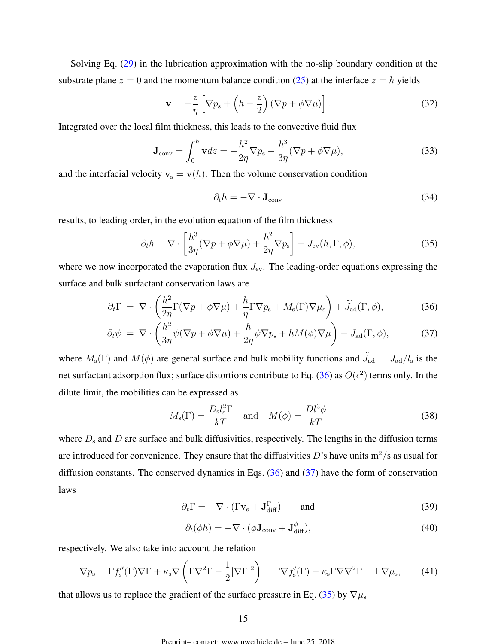<span id="page-14-0"></span>Solving Eq. [\(29\)](#page-13-0) in the lubrication approximation with the no-slip boundary condition at the substrate plane  $z = 0$  and the momentum balance condition [\(25\)](#page-12-0) at the interface  $z = h$  yields

$$
\mathbf{v} = -\frac{z}{\eta} \left[ \nabla p_{\rm s} + \left( h - \frac{z}{2} \right) \left( \nabla p + \phi \nabla \mu \right) \right]. \tag{32}
$$

Integrated over the local film thickness, this leads to the convective fluid flux

$$
\mathbf{J}_{\text{conv}} = \int_0^h \mathbf{v} dz = -\frac{h^2}{2\eta} \nabla p_{\text{s}} - \frac{h^3}{3\eta} (\nabla p + \phi \nabla \mu), \tag{33}
$$

and the interfacial velocity  $v_s = v(h)$ . Then the volume conservation condition

$$
\partial_t h = -\nabla \cdot \mathbf{J}_{\text{conv}} \tag{34}
$$

results, to leading order, in the evolution equation of the film thickness

$$
\partial_t h = \nabla \cdot \left[ \frac{h^3}{3\eta} (\nabla p + \phi \nabla \mu) + \frac{h^2}{2\eta} \nabla p_s \right] - J_{\text{ev}}(h, \Gamma, \phi), \tag{35}
$$

where we now incorporated the evaporation flux  $J_{\text{ev}}$ . The leading-order equations expressing the surface and bulk surfactant conservation laws are

$$
\partial_t \Gamma = \nabla \cdot \left( \frac{h^2}{2\eta} \Gamma(\nabla p + \phi \nabla \mu) + \frac{h}{\eta} \Gamma \nabla p_s + M_s(\Gamma) \nabla \mu_s \right) + \widetilde{J}_{\text{ad}}(\Gamma, \phi), \tag{36}
$$

$$
\partial_t \psi = \nabla \cdot \left( \frac{h^2}{3\eta} \psi (\nabla p + \phi \nabla \mu) + \frac{h}{2\eta} \psi \nabla p_s + h M(\phi) \nabla \mu \right) - J_{\text{ad}}(\Gamma, \phi), \tag{37}
$$

where  $M_s(\Gamma)$  and  $M(\phi)$  are general surface and bulk mobility functions and  $\tilde{J}_{ad} = J_{ad}/l_s$  is the net surfactant adsorption flux; surface distortions contribute to Eq. (36) as  $O(\epsilon^2)$  terms only. In the dilute limit, the mobilities can be expressed as

$$
M_{\rm s}(\Gamma) = \frac{D_{\rm s} l_{\rm s}^2 \Gamma}{kT} \quad \text{and} \quad M(\phi) = \frac{D l^3 \phi}{kT} \tag{38}
$$

where  $D_s$  and  $D$  are surface and bulk diffusivities, respectively. The lengths in the diffusion terms are introduced for convenience. They ensure that the diffusivities D's have units  $m^2/s$  as usual for diffusion constants. The conserved dynamics in Eqs. (36) and (37) have the form of conservation laws

$$
\partial_t \Gamma = -\nabla \cdot (\Gamma \mathbf{v}_s + \mathbf{J}_{\text{diff}}^{\Gamma}) \quad \text{and} \tag{39}
$$

$$
\partial_t(\phi h) = -\nabla \cdot (\phi \mathbf{J}_{\text{conv}} + \mathbf{J}_{\text{diff}}^{\phi}), \tag{40}
$$

respectively. We also take into account the relation

$$
\nabla p_{\rm s} = \Gamma f_{\rm s}''(\Gamma) \nabla \Gamma + \kappa_{\rm s} \nabla \left( \Gamma \nabla^2 \Gamma - \frac{1}{2} |\nabla \Gamma|^2 \right) = \Gamma \nabla f_{\rm s}'(\Gamma) - \kappa_{\rm s} \Gamma \nabla \nabla^2 \Gamma = \Gamma \nabla \mu_{\rm s},\tag{41}
$$

that allows us to replace the gradient of the surface pressure in Eq. (35) by  $\nabla \mu_s$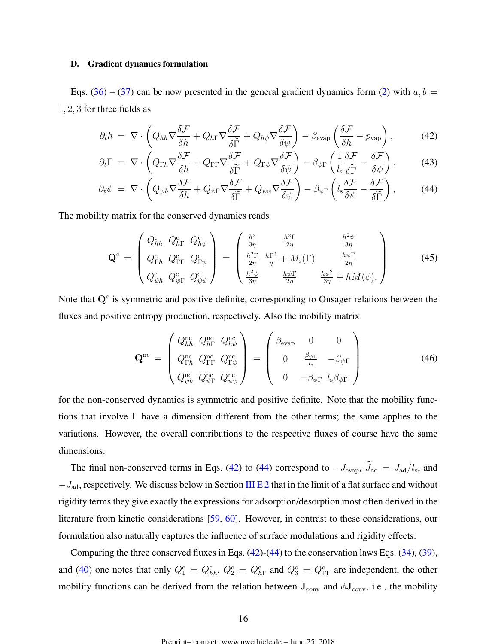## <span id="page-15-0"></span>D. Gradient dynamics formulation

Eqs. [\(36\)](#page-14-0) – [\(37\)](#page-14-0) can be now presented in the general gradient dynamics form [\(2\)](#page-4-0) with  $a, b =$ 1, 2, 3 for three fields as

$$
\partial_t h = \nabla \cdot \left( Q_{hh} \nabla \frac{\delta \mathcal{F}}{\delta h} + Q_{h\Gamma} \nabla \frac{\delta \mathcal{F}}{\delta \widetilde{\Gamma}} + Q_{h\psi} \nabla \frac{\delta \mathcal{F}}{\delta \psi} \right) - \beta_{\text{evap}} \left( \frac{\delta \mathcal{F}}{\delta h} - p_{\text{vap}} \right),\tag{42}
$$

$$
\partial_t \Gamma = \nabla \cdot \left( Q_{\Gamma h} \nabla \frac{\delta \mathcal{F}}{\delta h} + Q_{\Gamma \Gamma} \nabla \frac{\delta \mathcal{F}}{\delta \widetilde{\Gamma}} + Q_{\Gamma \psi} \nabla \frac{\delta \mathcal{F}}{\delta \psi} \right) - \beta_{\psi \Gamma} \left( \frac{1}{l_s} \frac{\delta \mathcal{F}}{\delta \widetilde{\Gamma}} - \frac{\delta \mathcal{F}}{\delta \psi} \right),\tag{43}
$$

$$
\partial_t \psi = \nabla \cdot \left( Q_{\psi h} \nabla \frac{\delta \mathcal{F}}{\delta h} + Q_{\psi \Gamma} \nabla \frac{\delta \mathcal{F}}{\delta \widetilde{\Gamma}} + Q_{\psi \psi} \nabla \frac{\delta \mathcal{F}}{\delta \psi} \right) - \beta_{\psi \Gamma} \left( l_s \frac{\delta \mathcal{F}}{\delta \psi} - \frac{\delta \mathcal{F}}{\delta \widetilde{\Gamma}} \right), \tag{44}
$$

The mobility matrix for the conserved dynamics reads

$$
\mathbf{Q}^{\mathrm{c}} = \begin{pmatrix} Q_{hh}^{\mathrm{c}} & Q_{h\Gamma}^{\mathrm{c}} & Q_{h\psi}^{\mathrm{c}} \\ Q_{\Gamma h}^{\mathrm{c}} & Q_{\Gamma \Gamma}^{\mathrm{c}} & Q_{\Gamma \psi}^{\mathrm{c}} \\ Q_{\psi h}^{\mathrm{c}} & Q_{\psi \Gamma}^{\mathrm{c}} & Q_{\psi \psi}^{\mathrm{c}} \end{pmatrix} = \begin{pmatrix} \frac{h^3}{3\eta} & \frac{h^2 \Gamma}{2\eta} & \frac{h^2 \psi}{3\eta} \\ \frac{h^2 \Gamma}{2\eta} & \frac{h \Gamma^2}{\eta} + M_{\mathrm{s}}(\Gamma) & \frac{h \psi \Gamma}{2\eta} \\ \frac{h^2 \psi}{3\eta} & \frac{h \psi \Gamma}{2\eta} & \frac{h \psi^2}{3\eta} + h M(\phi). \end{pmatrix}
$$
(45)

Note that  $Q<sup>c</sup>$  is symmetric and positive definite, corresponding to Onsager relations between the fluxes and positive entropy production, respectively. Also the mobility matrix

$$
\mathbf{Q}^{\text{nc}} = \begin{pmatrix} Q_{hh}^{\text{nc}} & Q_{h\Gamma}^{\text{nc}} & Q_{h\psi}^{\text{nc}} \\ Q_{\Gamma h}^{\text{nc}} & Q_{\Gamma \Gamma}^{\text{nc}} & Q_{\Gamma \psi}^{\text{nc}} \\ Q_{\psi h}^{\text{nc}} & Q_{\psi \Gamma}^{\text{nc}} & Q_{\psi \psi}^{\text{nc}} \end{pmatrix} = \begin{pmatrix} \beta_{\text{evap}} & 0 & 0 \\ 0 & \frac{\beta_{\psi \Gamma}}{l_s} & -\beta_{\psi \Gamma} \\ 0 & -\beta_{\psi \Gamma} & l_s \beta_{\psi \Gamma} \end{pmatrix}
$$
(46)

for the non-conserved dynamics is symmetric and positive definite. Note that the mobility functions that involve  $\Gamma$  have a dimension different from the other terms; the same applies to the variations. However, the overall contributions to the respective fluxes of course have the same dimensions.

The final non-conserved terms in Eqs. (42) to (44) correspond to  $-J_{\text{evap}}$ ,  $J_{\text{ad}} = J_{\text{ad}}/l_{\text{s}}$ , and  $-J_{\text{ad}}$ , respectively. We discuss below in Section [III E 2](#page-17-0) that in the limit of a flat surface and without rigidity terms they give exactly the expressions for adsorption/desorption most often derived in the literature from kinetic considerations [\[59,](#page-41-0) [60\]](#page-41-0). However, in contrast to these considerations, our formulation also naturally captures the influence of surface modulations and rigidity effects.

Comparing the three conserved fluxes in Eqs. (42)-(44) to the conservation laws Eqs. [\(34\)](#page-14-0), [\(39\)](#page-14-0), and [\(40\)](#page-14-0) one notes that only  $Q_1^c = Q_{hh}^c$ ,  $Q_2^c = Q_{h\Gamma}^c$  and  $Q_3^c = Q_{\Gamma\Gamma}^c$  are independent, the other mobility functions can be derived from the relation between  $J_{\text{conv}}$  and  $\phi J_{\text{conv}}$ , i.e., the mobility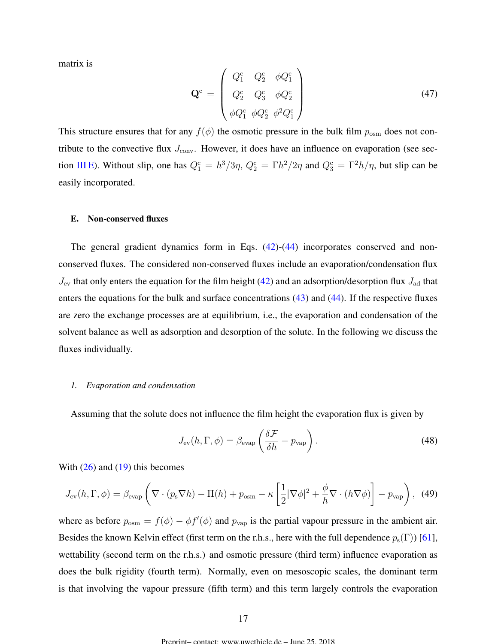<span id="page-16-0"></span>matrix is

$$
\mathbf{Q}^{\mathrm{c}} = \begin{pmatrix} Q_{1}^{\mathrm{c}} & Q_{2}^{\mathrm{c}} & \phi Q_{1}^{\mathrm{c}} \\ Q_{2}^{\mathrm{c}} & Q_{3}^{\mathrm{c}} & \phi Q_{2}^{\mathrm{c}} \\ \phi Q_{1}^{\mathrm{c}} & \phi Q_{2}^{\mathrm{c}} & \phi^{2} Q_{1}^{\mathrm{c}} \end{pmatrix}
$$
(47)

This structure ensures that for any  $f(\phi)$  the osmotic pressure in the bulk film  $p_{\text{osm}}$  does not contribute to the convective flux  $J_{\text{conv}}$ . However, it does have an influence on evaporation (see section III E). Without slip, one has  $Q_1^c = h^3/3\eta$ ,  $Q_2^c = \Gamma h^2/2\eta$  and  $Q_3^c = \Gamma^2 h/\eta$ , but slip can be easily incorporated.

## E. Non-conserved fluxes

The general gradient dynamics form in Eqs. [\(42\)](#page-15-0)-[\(44\)](#page-15-0) incorporates conserved and nonconserved fluxes. The considered non-conserved fluxes include an evaporation/condensation flux  $J_{\text{ev}}$  that only enters the equation for the film height [\(42\)](#page-15-0) and an adsorption/desorption flux  $J_{\text{ad}}$  that enters the equations for the bulk and surface concentrations [\(43\)](#page-15-0) and [\(44\)](#page-15-0). If the respective fluxes are zero the exchange processes are at equilibrium, i.e., the evaporation and condensation of the solvent balance as well as adsorption and desorption of the solute. In the following we discuss the fluxes individually.

#### *1. Evaporation and condensation*

Assuming that the solute does not influence the film height the evaporation flux is given by

$$
J_{\text{ev}}(h, \Gamma, \phi) = \beta_{\text{evap}} \left( \frac{\delta \mathcal{F}}{\delta h} - p_{\text{vap}} \right). \tag{48}
$$

With  $(26)$  and  $(19)$  this becomes

$$
J_{\text{ev}}(h,\Gamma,\phi) = \beta_{\text{evap}} \left( \nabla \cdot (p_{\text{s}} \nabla h) - \Pi(h) + p_{\text{osm}} - \kappa \left[ \frac{1}{2} |\nabla \phi|^2 + \frac{\phi}{h} \nabla \cdot (h \nabla \phi) \right] - p_{\text{vap}} \right), \tag{49}
$$

where as before  $p_{\text{osm}} = f(\phi) - \phi f'(\phi)$  and  $p_{\text{vap}}$  is the partial vapour pressure in the ambient air. Besides the known Kelvin effect (first term on the r.h.s., here with the full dependence  $p_s(\Gamma)$ ) [\[61\]](#page-42-0), wettability (second term on the r.h.s.) and osmotic pressure (third term) influence evaporation as does the bulk rigidity (fourth term). Normally, even on mesoscopic scales, the dominant term is that involving the vapour pressure (fifth term) and this term largely controls the evaporation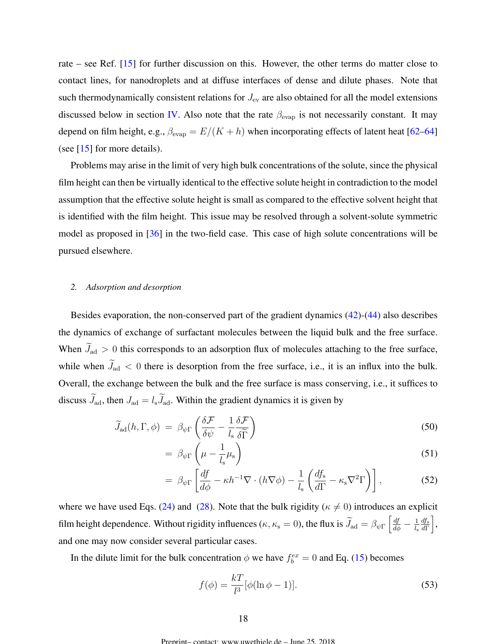<span id="page-17-0"></span>rate – see Ref. [\[15\]](#page-38-0) for further discussion on this. However, the other terms do matter close to contact lines, for nanodroplets and at diffuse interfaces of dense and dilute phases. Note that such thermodynamically consistent relations for  $J_{ev}$  are also obtained for all the model extensions discussed below in section [IV.](#page-20-0) Also note that the rate  $\beta_{\text{evap}}$  is not necessarily constant. It may depend on film height, e.g.,  $\beta_{\text{evap}} = E/(K + h)$  when incorporating effects of latent heat [\[62–64\]](#page-42-0) (see [\[15\]](#page-38-0) for more details).

Problems may arise in the limit of very high bulk concentrations of the solute, since the physical film height can then be virtually identical to the effective solute height in contradiction to the model assumption that the effective solute height is small as compared to the effective solvent height that is identified with the film height. This issue may be resolved through a solvent-solute symmetric model as proposed in  $[36]$  in the two-field case. This case of high solute concentrations will be pursued elsewhere.

## *2. Adsorption and desorption*

Besides evaporation, the non-conserved part of the gradient dynamics [\(42\)](#page-15-0)-[\(44\)](#page-15-0) also describes the dynamics of exchange of surfactant molecules between the liquid bulk and the free surface. When  $\widetilde{J}_{\text{ad}} > 0$  this corresponds to an adsorption flux of molecules attaching to the free surface, while when  $J_{ad}$  < 0 there is desorption from the free surface, i.e., it is an influx into the bulk. Overall, the exchange between the bulk and the free surface is mass conserving, i.e., it suffices to discuss  $\widetilde{J}_{ad}$ , then  $J_{ad} = l_s \widetilde{J}_{ad}$ . Within the gradient dynamics it is given by

$$
\widetilde{J}_{\rm ad}(h, \Gamma, \phi) = \beta_{\psi \Gamma} \left( \frac{\delta \mathcal{F}}{\delta \psi} - \frac{1}{l_{\rm s}} \frac{\delta \mathcal{F}}{\delta \widetilde{\Gamma}} \right)
$$
\n(50)

$$
= \beta_{\psi\Gamma} \left( \mu - \frac{1}{l_s} \mu_s \right) \tag{51}
$$

$$
= \beta_{\psi\Gamma} \left[ \frac{df}{d\phi} - \kappa h^{-1} \nabla \cdot (h \nabla \phi) - \frac{1}{l_{\rm s}} \left( \frac{df_{\rm s}}{d\Gamma} - \kappa_{\rm s} \nabla^2 \Gamma \right) \right], \tag{52}
$$

where we have used Eqs. [\(24\)](#page-12-0) and [\(28\)](#page-13-0). Note that the bulk rigidity ( $\kappa \neq 0$ ) introduces an explicit film height dependence. Without rigidity influences ( $\kappa, \kappa_s = 0$ ), the flux is  $\widetilde{J}_{ad} = \beta_{\psi\Gamma} \left[ \frac{df}{d\phi} - \frac{1}{l_s} \right]$  $l_{\rm s}$  $df_{\mathbf{s}}$  $\left. \frac{d f_{\rm s}}{d\Gamma}\right|,$ and one may now consider several particular cases.

In the dilute limit for the bulk concentration  $\phi$  we have  $f_b^{ex} = 0$  and Eq. [\(15\)](#page-11-0) becomes

$$
f(\phi) = \frac{k}{l^3} [\phi(\ln \phi - 1)].
$$
\n(53)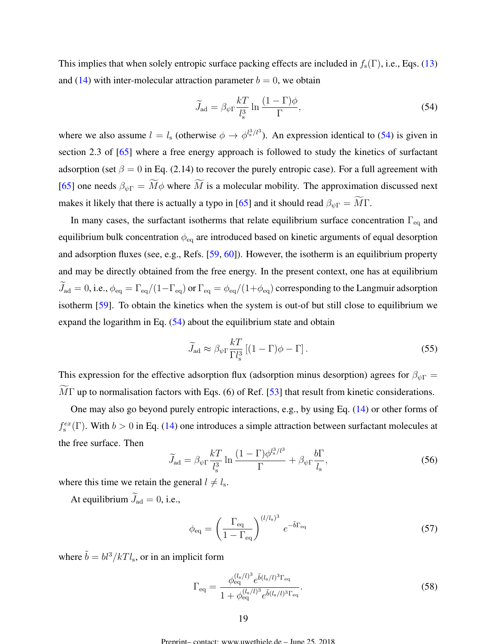<span id="page-18-0"></span>This implies that when solely entropic surface packing effects are included in  $f_s(\Gamma)$ , i.e., Eqs. [\(13\)](#page-10-0) and [\(14\)](#page-10-0) with inter-molecular attraction parameter  $b = 0$ , we obtain

$$
\widetilde{J}_{\rm ad} = \beta_{\psi\Gamma} \frac{kT}{l_s^3} \ln \frac{(1-\Gamma)\phi}{\Gamma},\tag{54}
$$

where we also assume  $l = l_s$  (otherwise  $\phi \to \phi^{l_s^3/l^3}$ ). An expression identical to (54) is given in section 2.3 of [\[65\]](#page-42-0) where a free energy approach is followed to study the kinetics of surfactant adsorption (set  $\beta = 0$  in Eq. (2.14) to recover the purely entropic case). For a full agreement with [\[65\]](#page-42-0) one needs  $\beta_{\psi\Gamma} = \widetilde{M}\phi$  where  $\widetilde{M}$  is a molecular mobility. The approximation discussed next makes it likely that there is actually a typo in [\[65\]](#page-42-0) and it should read  $\beta_{\psi\Gamma} = \widetilde{M}\Gamma$ .

In many cases, the surfactant isotherms that relate equilibrium surface concentration  $\Gamma_{\text{eq}}$  and equilibrium bulk concentration  $\phi_{\text{eq}}$  are introduced based on kinetic arguments of equal desorption and adsorption fluxes (see, e.g., Refs. [\[59,](#page-41-0) [60\]](#page-41-0)). However, the isotherm is an equilibrium property and may be directly obtained from the free energy. In the present context, one has at equilibrium  $J_{\rm ad}=0$ , i.e.,  $\phi_{\rm eq}=\Gamma_{\rm eq}/(1-\Gamma_{\rm eq})$  or  $\Gamma_{\rm eq}=\phi_{\rm eq}/(1+\phi_{\rm eq})$  corresponding to the Langmuir adsorption isotherm [\[59\]](#page-41-0). To obtain the kinetics when the system is out-of but still close to equilibrium we expand the logarithm in Eq.  $(54)$  about the equilibrium state and obtain

$$
\widetilde{J}_{\rm ad} \approx \beta_{\psi \Gamma} \frac{kT}{\Gamma l_{\rm s}^3} \left[ (1 - \Gamma) \phi - \Gamma \right]. \tag{55}
$$

This expression for the effective adsorption flux (adsorption minus desorption) agrees for  $\beta_{\psi\Gamma}$  =  $MT$  up to normalisation factors with Eqs. (6) of Ref. [\[53\]](#page-41-0) that result from kinetic considerations.

One may also go beyond purely entropic interactions, e.g., by using Eq. [\(14\)](#page-10-0) or other forms of  $f_s^{ex}(\Gamma)$ . With  $b > 0$  in Eq. [\(14\)](#page-10-0) one introduces a simple attraction between surfactant molecules at the free surface. Then

$$
\widetilde{J}_{\rm ad} = \beta_{\psi\Gamma} \frac{kT}{l_{\rm s}^3} \ln \frac{(1-\Gamma)\phi^{l_{\rm s}^3/l^3}}{\Gamma} + \beta_{\psi\Gamma} \frac{b\Gamma}{l_{\rm s}},\tag{56}
$$

where this time we retain the general  $l \neq l_s$ .

At equilibrium  $\widetilde{J}_{\text{ad}} = 0$ , i.e.,

$$
\phi_{\text{eq}} = \left(\frac{\Gamma_{\text{eq}}}{1 - \Gamma_{\text{eq}}}\right)^{(l/l_s)^3} e^{-\tilde{b}\Gamma_{\text{eq}}}
$$
\n(57)

where  $\tilde{b} = bl^3/kTl_s$ , or in an implicit form

$$
\Gamma_{\text{eq}} = \frac{\phi_{\text{eq}}^{(l_s/l)^3} e^{\tilde{b}(l_s/l)^3 \Gamma_{\text{eq}}}}{1 + \phi_{\text{eq}}^{(l_s/l)^3} e^{\tilde{b}(l_s/l)^3 \Gamma_{\text{eq}}}}.
$$
\n(58)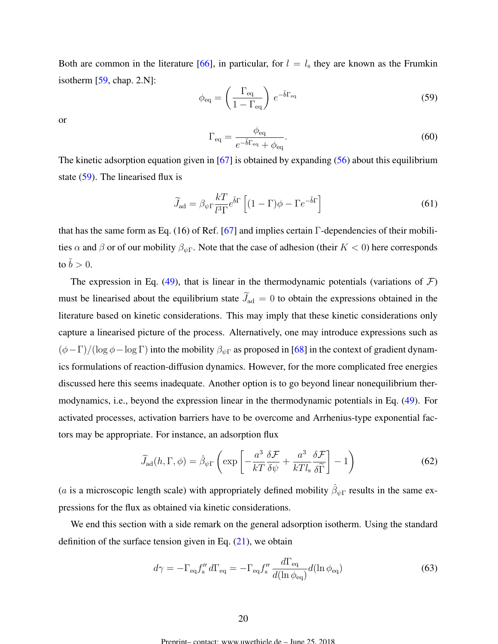Both are common in the literature [\[66\]](#page-42-0), in particular, for  $l = l_s$  they are known as the Frumkin isotherm [\[59,](#page-41-0) chap. 2.N]:

$$
\phi_{\text{eq}} = \left(\frac{\Gamma_{\text{eq}}}{1 - \Gamma_{\text{eq}}}\right) e^{-\tilde{b}\Gamma_{\text{eq}}}
$$
\n(59)

or

$$
\Gamma_{\text{eq}} = \frac{\phi_{\text{eq}}}{e^{-\tilde{b}\Gamma_{\text{eq}}} + \phi_{\text{eq}}}.
$$
\n(60)

The kinetic adsorption equation given in  $[67]$  is obtained by expanding  $(56)$  about this equilibrium state (59). The linearised flux is

$$
\widetilde{J}_{\rm ad} = \beta_{\psi\Gamma} \frac{kT}{l^3\Gamma} e^{\tilde{b}\Gamma} \left[ (1-\Gamma)\phi - \Gamma e^{-\tilde{b}\Gamma} \right]
$$
\n(61)

that has the same form as Eq. (16) of Ref. [\[67\]](#page-42-0) and implies certain  $\Gamma$ -dependencies of their mobilities  $\alpha$  and  $\beta$  or of our mobility  $\beta_{\psi\Gamma}$ . Note that the case of adhesion (their  $K < 0$ ) here corresponds to  $\tilde{b} > 0$ .

The expression in Eq. [\(49\)](#page-16-0), that is linear in the thermodynamic potentials (variations of  $\mathcal{F}$ ) must be linearised about the equilibrium state  $\widetilde{J}_{ad} = 0$  to obtain the expressions obtained in the literature based on kinetic considerations. This may imply that these kinetic considerations only capture a linearised picture of the process. Alternatively, one may introduce expressions such as  $(\phi-\Gamma)/(\log \phi - \log \Gamma)$  into the mobility  $\beta_{\psi\Gamma}$  as proposed in [\[68\]](#page-42-0) in the context of gradient dynamics formulations of reaction-diffusion dynamics. However, for the more complicated free energies discussed here this seems inadequate. Another option is to go beyond linear nonequilibrium thermodynamics, i.e., beyond the expression linear in the thermodynamic potentials in Eq. [\(49\)](#page-16-0). For activated processes, activation barriers have to be overcome and Arrhenius-type exponential factors may be appropriate. For instance, an adsorption flux

$$
\widetilde{J}_{\rm ad}(h,\Gamma,\phi) = \widehat{\beta}_{\psi\Gamma} \left( \exp \left[ -\frac{a^3}{kT} \frac{\delta \mathcal{F}}{\delta \psi} + \frac{a^3}{kTl_s} \frac{\delta \mathcal{F}}{\delta \widetilde{\Gamma}} \right] - 1 \right) \tag{62}
$$

(*a* is a microscopic length scale) with appropriately defined mobility  $\hat{\beta}_{\psi\Gamma}$  results in the same expressions for the flux as obtained via kinetic considerations.

We end this section with a side remark on the general adsorption isotherm. Using the standard definition of the surface tension given in Eq.  $(21)$ , we obtain

$$
d\gamma = -\Gamma_{\text{eq}} f''_{\text{s}} d\Gamma_{\text{eq}} = -\Gamma_{\text{eq}} f''_{\text{s}} \frac{d\Gamma_{\text{eq}}}{d(\ln \phi_{\text{eq}})} d(\ln \phi_{\text{eq}})
$$
(63)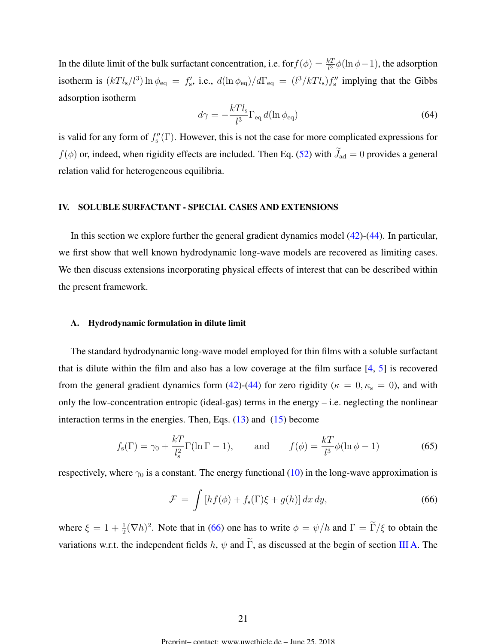<span id="page-20-0"></span>In the dilute limit of the bulk surfactant concentration, i.e. for  $f(\phi) = \frac{kT}{l^3} \phi(\ln \phi - 1)$ , the adsorption isotherm is  $(kTl_s/l^3) \ln \phi_{\text{eq}} = f'_s$ , i.e.,  $d(\ln \phi_{\text{eq}})/d\Gamma_{\text{eq}} = (l^3/kTl_s)f''_s$  implying that the Gibbs adsorption isotherm

$$
d\gamma = -\frac{kTl_s}{l^3} \Gamma_{\text{eq}} d(\ln \phi_{\text{eq}}) \tag{64}
$$

is valid for any form of  $f''_s(\Gamma)$ . However, this is not the case for more complicated expressions for  $f(\phi)$  or, indeed, when rigidity effects are included. Then Eq. [\(52\)](#page-17-0) with  $\widetilde{J}_{ad} = 0$  provides a general relation valid for heterogeneous equilibria.

## IV. SOLUBLE SURFACTANT - SPECIAL CASES AND EXTENSIONS

In this section we explore further the general gradient dynamics model [\(42\)](#page-15-0)-[\(44\)](#page-15-0). In particular, we first show that well known hydrodynamic long-wave models are recovered as limiting cases. We then discuss extensions incorporating physical effects of interest that can be described within the present framework.

## A. Hydrodynamic formulation in dilute limit

The standard hydrodynamic long-wave model employed for thin films with a soluble surfactant that is dilute within the film and also has a low coverage at the film surface [\[4,](#page-37-0) [5\]](#page-38-0) is recovered from the general gradient dynamics form [\(42\)](#page-15-0)-[\(44\)](#page-15-0) for zero rigidity ( $\kappa = 0, \kappa_s = 0$ ), and with only the low-concentration entropic (ideal-gas) terms in the energy – i.e. neglecting the nonlinear interaction terms in the energies. Then, Eqs.  $(13)$  and  $(15)$  become

$$
f_{\rm s}(\Gamma) = \gamma_0 + \frac{k}{l_{\rm s}^2} \Gamma(\ln \Gamma - 1), \quad \text{and} \quad f(\phi) = \frac{k}{l^3} \phi(\ln \phi - 1) \tag{65}
$$

respectively, where  $\gamma_0$  is a constant. The energy functional [\(10\)](#page-10-0) in the long-wave approximation is

$$
\mathcal{F} = \int \left[ hf(\phi) + f_s(\Gamma)\xi + g(h) \right] dx \, dy,\tag{66}
$$

where  $\xi = 1 + \frac{1}{2} (\nabla h)^2$ . Note that in (66) one has to write  $\phi = \psi/h$  and  $\Gamma = \tilde{\Gamma}/\xi$  to obtain the variations w.r.t. the independent fields h,  $\psi$  and  $\tilde{\Gamma}$ , as discussed at the begin of section [III A.](#page-9-0) The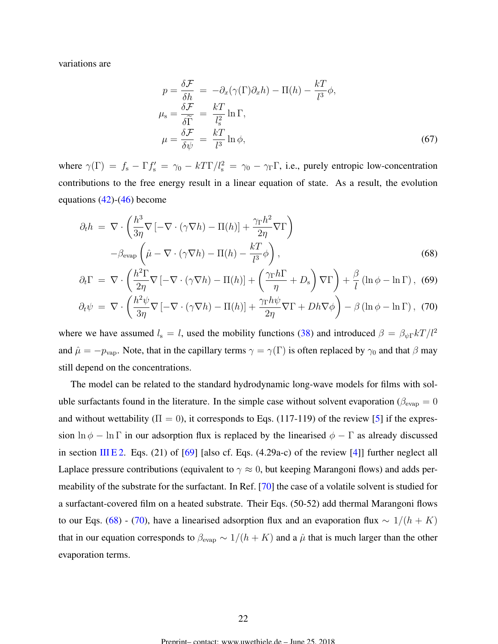<span id="page-21-0"></span>variations are

$$
p = \frac{\delta \mathcal{F}}{\delta h} = -\partial_x(\gamma(\Gamma)\partial_x h) - \Pi(h) - \frac{kT}{l^3}\phi,
$$
  
\n
$$
\mu_s = \frac{\delta \mathcal{F}}{\delta \widetilde{\Gamma}} = \frac{kT}{l_s^2} \ln \Gamma,
$$
  
\n
$$
\mu = \frac{\delta \mathcal{F}}{\delta \psi} = \frac{kT}{l^3} \ln \phi,
$$
\n(67)

where  $\gamma(\Gamma) = f_s - \Gamma f'_s = \gamma_0 - k \Gamma \Gamma / l_s^2 = \gamma_0 - \gamma_\Gamma \Gamma$ , i.e., purely entropic low-concentration contributions to the free energy result in a linear equation of state. As a result, the evolution equations  $(42)-(46)$  $(42)-(46)$  $(42)-(46)$  become

$$
\partial_t h = \nabla \cdot \left( \frac{h^3}{3\eta} \nabla \left[ -\nabla \cdot (\gamma \nabla h) - \Pi(h) \right] + \frac{\gamma_\Gamma h^2}{2\eta} \nabla \Gamma \right)
$$

$$
- \beta_{\text{evap}} \left( \hat{\mu} - \nabla \cdot (\gamma \nabla h) - \Pi(h) - \frac{kT}{l^3} \phi \right), \tag{68}
$$

$$
\partial_t \Gamma = \nabla \cdot \left( \frac{h^2 \Gamma}{2\eta} \nabla \left[ -\nabla \cdot (\gamma \nabla h) - \Pi(h) \right] + \left( \frac{\gamma_\Gamma h \Gamma}{\eta} + D_s \right) \nabla \Gamma \right) + \frac{\beta}{l} \left( \ln \phi - \ln \Gamma \right), \tag{69}
$$

$$
\partial_t \psi = \nabla \cdot \left( \frac{h^2 \psi}{3\eta} \nabla \left[ -\nabla \cdot (\gamma \nabla h) - \Pi(h) \right] + \frac{\gamma_{\Gamma} h \psi}{2\eta} \nabla \Gamma + Dh \nabla \phi \right) - \beta \left( \ln \phi - \ln \Gamma \right), \tag{70}
$$

where we have assumed  $l_s = l$ , used the mobility functions [\(38\)](#page-14-0) and introduced  $\beta = \beta_{\psi} \frac{F kT}{l^2}$ and  $\hat{\mu} = -p_{\text{vap}}$ . Note, that in the capillary terms  $\gamma = \gamma(\Gamma)$  is often replaced by  $\gamma_0$  and that  $\beta$  may still depend on the concentrations.

The model can be related to the standard hydrodynamic long-wave models for films with soluble surfactants found in the literature. In the simple case without solvent evaporation ( $\beta_{\text{evap}} = 0$ and without wettability ( $\Pi = 0$ ), it corresponds to Eqs. (117-119) of the review [\[5\]](#page-38-0) if the expression  $\ln \phi - \ln \Gamma$  in our adsorption flux is replaced by the linearised  $\phi - \Gamma$  as already discussed in section [III E 2.](#page-17-0) Eqs. (21) of  $[69]$  [also cf. Eqs. (4.29a-c) of the review  $[4]$ ] further neglect all Laplace pressure contributions (equivalent to  $\gamma \approx 0$ , but keeping Marangoni flows) and adds permeability of the substrate for the surfactant. In Ref. [\[70\]](#page-42-0) the case of a volatile solvent is studied for a surfactant-covered film on a heated substrate. Their Eqs. (50-52) add thermal Marangoni flows to our Eqs. (68) - (70), have a linearised adsorption flux and an evaporation flux  $\sim 1/(h + K)$ that in our equation corresponds to  $\beta_{\text{evap}} \sim 1/(h + K)$  and a  $\hat{\mu}$  that is much larger than the other evaporation terms.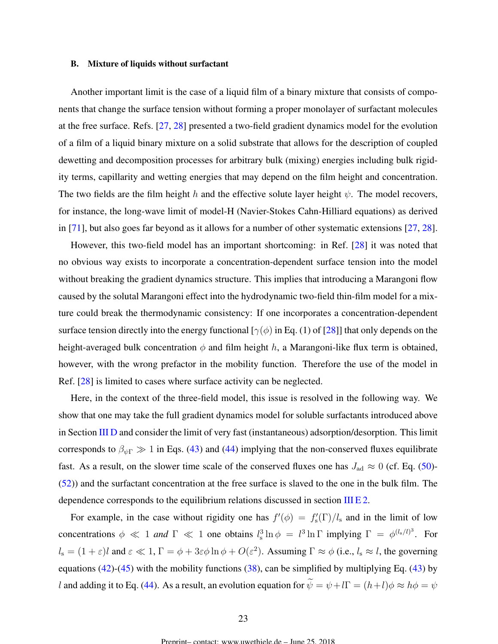### <span id="page-22-0"></span>B. Mixture of liquids without surfactant

Another important limit is the case of a liquid film of a binary mixture that consists of components that change the surface tension without forming a proper monolayer of surfactant molecules at the free surface. Refs. [\[27,](#page-39-0) [28\]](#page-39-0) presented a two-field gradient dynamics model for the evolution of a film of a liquid binary mixture on a solid substrate that allows for the description of coupled dewetting and decomposition processes for arbitrary bulk (mixing) energies including bulk rigidity terms, capillarity and wetting energies that may depend on the film height and concentration. The two fields are the film height h and the effective solute layer height  $\psi$ . The model recovers, for instance, the long-wave limit of model-H (Navier-Stokes Cahn-Hilliard equations) as derived in [\[71\]](#page-42-0), but also goes far beyond as it allows for a number of other systematic extensions [\[27,](#page-39-0) [28\]](#page-39-0).

However, this two-field model has an important shortcoming: in Ref. [\[28\]](#page-39-0) it was noted that no obvious way exists to incorporate a concentration-dependent surface tension into the model without breaking the gradient dynamics structure. This implies that introducing a Marangoni flow caused by the solutal Marangoni effect into the hydrodynamic two-field thin-film model for a mixture could break the thermodynamic consistency: If one incorporates a concentration-dependent surface tension directly into the energy functional [ $\gamma(\phi)$  in Eq. (1) of [\[28\]](#page-39-0)] that only depends on the height-averaged bulk concentration  $\phi$  and film height h, a Marangoni-like flux term is obtained, however, with the wrong prefactor in the mobility function. Therefore the use of the model in Ref. [\[28\]](#page-39-0) is limited to cases where surface activity can be neglected.

Here, in the context of the three-field model, this issue is resolved in the following way. We show that one may take the full gradient dynamics model for soluble surfactants introduced above in Section [III D](#page-15-0) and consider the limit of very fast (instantaneous) adsorption/desorption. This limit corresponds to  $\beta_{\psi\Gamma} \gg 1$  in Eqs. [\(43\)](#page-15-0) and [\(44\)](#page-15-0) implying that the non-conserved fluxes equilibrate fast. As a result, on the slower time scale of the conserved fluxes one has  $J_{\text{ad}} \approx 0$  (cf. Eq. [\(50\)](#page-17-0)-[\(52\)](#page-17-0)) and the surfactant concentration at the free surface is slaved to the one in the bulk film. The dependence corresponds to the equilibrium relations discussed in section [III E 2.](#page-17-0)

For example, in the case without rigidity one has  $f'(\phi) = f'_{s}(\Gamma)/l_{s}$  and in the limit of low concentrations  $\phi \ll 1$  *and*  $\Gamma \ll 1$  one obtains  $l_s^3 \ln \phi = l^3 \ln \Gamma$  implying  $\Gamma = \phi^{(l_s/l)^3}$ . For  $l_s = (1 + \varepsilon)l$  and  $\varepsilon \ll 1$ ,  $\Gamma = \phi + 3\varepsilon\phi \ln \phi + O(\varepsilon^2)$ . Assuming  $\Gamma \approx \phi$  (i.e.,  $l_s \approx l$ , the governing equations [\(42\)](#page-15-0)-[\(45\)](#page-15-0) with the mobility functions [\(38\)](#page-14-0), can be simplified by multiplying Eq. [\(43\)](#page-15-0) by l and adding it to Eq. [\(44\)](#page-15-0). As a result, an evolution equation for  $\widetilde{\psi} = \psi + l\Gamma = (h+l)\phi \approx h\phi = \psi$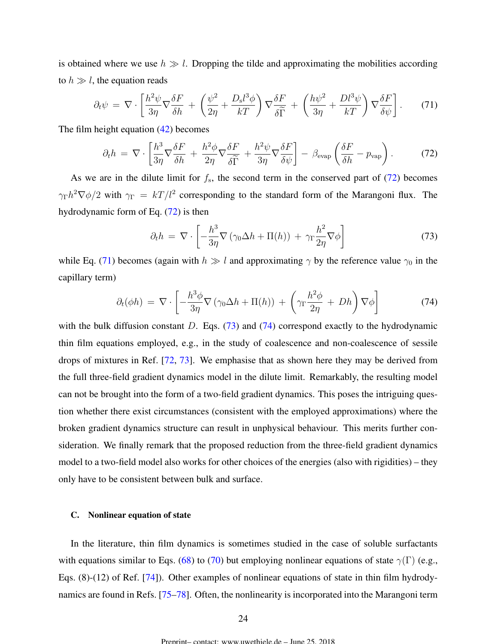<span id="page-23-0"></span>is obtained where we use  $h \gg l$ . Dropping the tilde and approximating the mobilities according to  $h \gg l$ , the equation reads

$$
\partial_t \psi = \nabla \cdot \left[ \frac{h^2 \psi}{3\eta} \nabla \frac{\delta F}{\delta h} + \left( \frac{\psi^2}{2\eta} + \frac{D_s l^3 \phi}{kT} \right) \nabla \frac{\delta F}{\delta \widetilde{\Gamma}} + \left( \frac{h \psi^2}{3\eta} + \frac{D l^3 \psi}{kT} \right) \nabla \frac{\delta F}{\delta \psi} \right].
$$
 (71)

The film height equation [\(42\)](#page-15-0) becomes

$$
\partial_t h = \nabla \cdot \left[ \frac{h^3}{3\eta} \nabla \frac{\delta F}{\delta h} + \frac{h^2 \phi}{2\eta} \nabla \frac{\delta F}{\delta \widetilde{\Gamma}} + \frac{h^2 \psi}{3\eta} \nabla \frac{\delta F}{\delta \psi} \right] - \beta_{\text{evap}} \left( \frac{\delta F}{\delta h} - p_{\text{vap}} \right). \tag{72}
$$

As we are in the dilute limit for  $f_s$ , the second term in the conserved part of  $(72)$  becomes  $\gamma_{\Gamma}h^2\nabla\phi/2$  with  $\gamma_{\Gamma} = kT/l^2$  corresponding to the standard form of the Marangoni flux. The hydrodynamic form of Eq. (72) is then

$$
\partial_t h = \nabla \cdot \left[ -\frac{h^3}{3\eta} \nabla \left( \gamma_0 \Delta h + \Pi(h) \right) + \gamma_\Gamma \frac{h^2}{2\eta} \nabla \phi \right]
$$
(73)

while Eq. (71) becomes (again with  $h \gg l$  and approximating  $\gamma$  by the reference value  $\gamma_0$  in the capillary term)

$$
\partial_t(\phi h) = \nabla \cdot \left[ -\frac{h^3 \phi}{3\eta} \nabla \left( \gamma_0 \Delta h + \Pi(h) \right) + \left( \gamma_\Gamma \frac{h^2 \phi}{2\eta} + Dh \right) \nabla \phi \right] \tag{74}
$$

with the bulk diffusion constant D. Eqs.  $(73)$  and  $(74)$  correspond exactly to the hydrodynamic thin film equations employed, e.g., in the study of coalescence and non-coalescence of sessile drops of mixtures in Ref. [\[72,](#page-42-0) [73\]](#page-42-0). We emphasise that as shown here they may be derived from the full three-field gradient dynamics model in the dilute limit. Remarkably, the resulting model can not be brought into the form of a two-field gradient dynamics. This poses the intriguing question whether there exist circumstances (consistent with the employed approximations) where the broken gradient dynamics structure can result in unphysical behaviour. This merits further consideration. We finally remark that the proposed reduction from the three-field gradient dynamics model to a two-field model also works for other choices of the energies (also with rigidities) – they only have to be consistent between bulk and surface.

## C. Nonlinear equation of state

In the literature, thin film dynamics is sometimes studied in the case of soluble surfactants with equations similar to Eqs. [\(68\)](#page-21-0) to [\(70\)](#page-21-0) but employing nonlinear equations of state  $\gamma(\Gamma)$  (e.g., Eqs. (8)-(12) of Ref. [\[74\]](#page-43-0)). Other examples of nonlinear equations of state in thin film hydrodynamics are found in Refs. [\[75–78\]](#page-43-0). Often, the nonlinearity is incorporated into the Marangoni term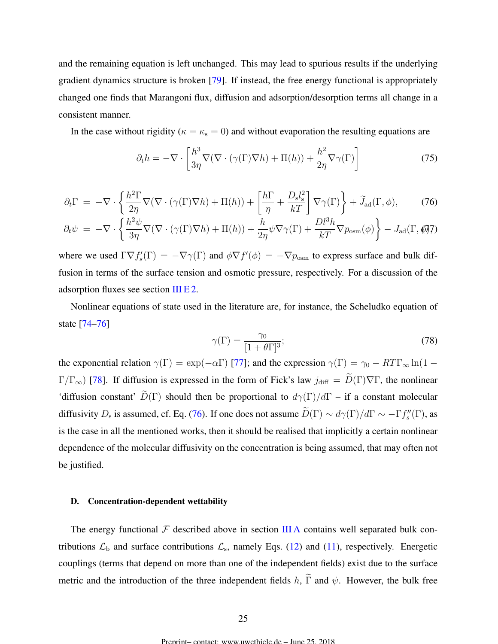and the remaining equation is left unchanged. This may lead to spurious results if the underlying gradient dynamics structure is broken [\[79\]](#page-43-0). If instead, the free energy functional is appropriately changed one finds that Marangoni flux, diffusion and adsorption/desorption terms all change in a consistent manner.

In the case without rigidity ( $\kappa = \kappa_s = 0$ ) and without evaporation the resulting equations are

$$
\partial_t h = -\nabla \cdot \left[ \frac{h^3}{3\eta} \nabla (\nabla \cdot (\gamma(\Gamma) \nabla h) + \Pi(h)) + \frac{h^2}{2\eta} \nabla \gamma(\Gamma) \right]
$$
(75)

$$
\partial_t \Gamma = -\nabla \cdot \left\{ \frac{h^2 \Gamma}{2\eta} \nabla (\nabla \cdot (\gamma(\Gamma) \nabla h) + \Pi(h)) + \left[ \frac{h\Gamma}{\eta} + \frac{D_s l_s^2}{kT} \right] \nabla \gamma(\Gamma) \right\} + \tilde{J}_{\text{ad}}(\Gamma, \phi),\tag{76}
$$

$$
\partial_t \psi = -\nabla \cdot \left\{ \frac{h^2 \psi}{3\eta} \nabla (\nabla \cdot (\gamma(\Gamma) \nabla h) + \Pi(h)) + \frac{h}{2\eta} \psi \nabla \gamma(\Gamma) + \frac{D l^3 h}{kT} \nabla p_{\text{osm}}(\phi) \right\} - J_{\text{ad}}(\Gamma, \phi) \mathfrak{Z}
$$

where we used  $\Gamma \nabla f'_s(\Gamma) = -\nabla \gamma(\Gamma)$  and  $\phi \nabla f'(\phi) = -\nabla p_{\text{osm}}$  to express surface and bulk diffusion in terms of the surface tension and osmotic pressure, respectively. For a discussion of the adsorption fluxes see section [III E 2.](#page-17-0)

Nonlinear equations of state used in the literature are, for instance, the Scheludko equation of state [\[74–76\]](#page-43-0)

$$
\gamma(\Gamma) = \frac{\gamma_0}{[1 + \theta \Gamma]^3};\tag{78}
$$

the exponential relation  $\gamma(\Gamma) = \exp(-\alpha \Gamma)$  [\[77\]](#page-43-0); and the expression  $\gamma(\Gamma) = \gamma_0 - RT\Gamma_{\infty} \ln(1 \Gamma/\Gamma_{\infty}$ ) [\[78\]](#page-43-0). If diffusion is expressed in the form of Fick's law  $j_{\text{diff}} = \widetilde{D}(\Gamma)\nabla\Gamma$ , the nonlinear 'diffusion constant'  $\widetilde{D}(\Gamma)$  should then be proportional to  $d\gamma(\Gamma)/d\Gamma$  – if a constant molecular diffusivity  $D_s$  is assumed, cf. Eq. (76). If one does not assume  $\tilde{D}(\Gamma) \sim d\gamma(\Gamma)/d\Gamma \sim -\Gamma f_s''(\Gamma)$ , as is the case in all the mentioned works, then it should be realised that implicitly a certain nonlinear dependence of the molecular diffusivity on the concentration is being assumed, that may often not be justified.

## D. Concentration-dependent wettability

The energy functional  $\mathcal F$  described above in section [III A](#page-9-0) contains well separated bulk contributions  $\mathcal{L}_{\rm b}$  and surface contributions  $\mathcal{L}_{\rm s}$ , namely Eqs. [\(12\)](#page-10-0) and [\(11\)](#page-10-0), respectively. Energetic couplings (terms that depend on more than one of the independent fields) exist due to the surface metric and the introduction of the three independent fields h,  $\tilde{\Gamma}$  and  $\psi$ . However, the bulk free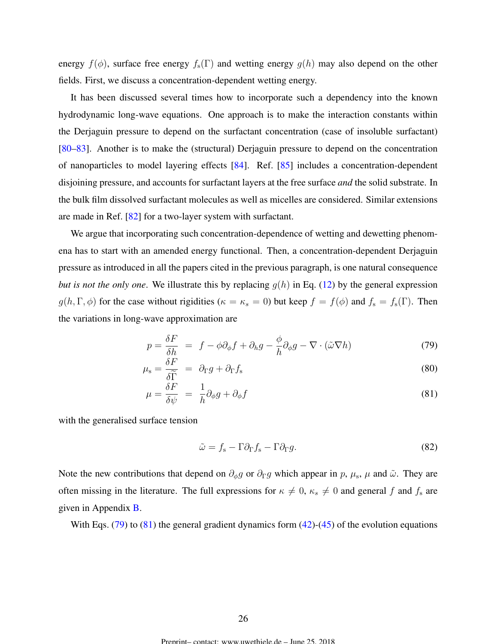<span id="page-25-0"></span>energy  $f(\phi)$ , surface free energy  $f_s(\Gamma)$  and wetting energy  $g(h)$  may also depend on the other fields. First, we discuss a concentration-dependent wetting energy.

It has been discussed several times how to incorporate such a dependency into the known hydrodynamic long-wave equations. One approach is to make the interaction constants within the Derjaguin pressure to depend on the surfactant concentration (case of insoluble surfactant) [\[80–83\]](#page-43-0). Another is to make the (structural) Derjaguin pressure to depend on the concentration of nanoparticles to model layering effects [\[84\]](#page-43-0). Ref. [\[85\]](#page-43-0) includes a concentration-dependent disjoining pressure, and accounts for surfactant layers at the free surface *and* the solid substrate. In the bulk film dissolved surfactant molecules as well as micelles are considered. Similar extensions are made in Ref. [\[82\]](#page-43-0) for a two-layer system with surfactant.

We argue that incorporating such concentration-dependence of wetting and dewetting phenomena has to start with an amended energy functional. Then, a concentration-dependent Derjaguin pressure as introduced in all the papers cited in the previous paragraph, is one natural consequence *but is not the only one.* We illustrate this by replacing  $g(h)$  in Eq. [\(12\)](#page-10-0) by the general expression  $g(h, \Gamma, \phi)$  for the case without rigidities ( $\kappa = \kappa_s = 0$ ) but keep  $f = f(\phi)$  and  $f_s = f_s(\Gamma)$ . Then the variations in long-wave approximation are

$$
p = \frac{\delta F}{\delta h} = f - \phi \partial_{\phi} f + \partial_{h} g - \frac{\phi}{h} \partial_{\phi} g - \nabla \cdot (\tilde{\omega} \nabla h)
$$
 (79)

$$
\mu_{\rm s} = \frac{\delta F}{\delta \widetilde{\Gamma}} = \partial_{\Gamma} g + \partial_{\Gamma} f_{\rm s} \tag{80}
$$

$$
\mu = \frac{\delta F}{\delta \psi} = \frac{1}{h} \partial_{\phi} g + \partial_{\phi} f \tag{81}
$$

with the generalised surface tension

$$
\tilde{\omega} = f_s - \Gamma \partial_{\Gamma} f_s - \Gamma \partial_{\Gamma} g. \tag{82}
$$

Note the new contributions that depend on  $\partial_{\phi}g$  or  $\partial_{\Gamma}g$  which appear in p,  $\mu_s$ ,  $\mu$  and  $\tilde{\omega}$ . They are often missing in the literature. The full expressions for  $\kappa \neq 0$ ,  $\kappa_s \neq 0$  and general f and  $f_s$  are given in Appendix [B.](#page-34-0)

With Eqs.  $(79)$  to  $(81)$  the general gradient dynamics form  $(42)$ - $(45)$  of the evolution equations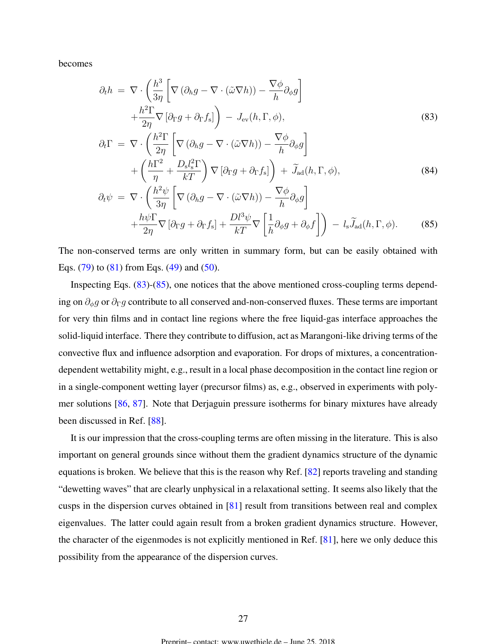becomes

$$
\partial_t h = \nabla \cdot \left( \frac{h^3}{3\eta} \left[ \nabla (\partial_h g - \nabla \cdot (\tilde{\omega} \nabla h)) - \frac{\nabla \phi}{h} \partial_\phi g \right] + \frac{h^2 \Gamma}{2\eta} \nabla [\partial_\Gamma g + \partial_\Gamma f_s] \right) - J_{\text{ev}}(h, \Gamma, \phi),
$$
\n(83)  
\n
$$
\partial_t \Gamma = \nabla \cdot \left( \frac{h^2 \Gamma}{2\eta} \left[ \nabla (\partial_h g - \nabla \cdot (\tilde{\omega} \nabla h)) - \frac{\nabla \phi}{h} \partial_\phi g \right] + \left( \frac{h \Gamma^2}{\eta} + \frac{D_s l_s^2 \Gamma}{kT} \right) \nabla [\partial_\Gamma g + \partial_\Gamma f_s] \right) + \tilde{J}_{\text{ad}}(h, \Gamma, \phi),
$$
\n(84)

$$
\partial_t \psi = \nabla \cdot \left( \frac{h^2 \psi}{3\eta} \left[ \nabla \left( \partial_h g - \nabla \cdot (\tilde{\omega} \nabla h) \right) - \frac{\nabla \phi}{h} \partial_\phi g \right] + \frac{h \psi \Gamma}{2\eta} \nabla \left[ \partial_\Gamma g + \partial_\Gamma f_s \right] + \frac{D l^3 \psi}{kT} \nabla \left[ \frac{1}{h} \partial_\phi g + \partial_\phi f \right] \right) - l_s \widetilde{J}_{\text{ad}}(h, \Gamma, \phi). \tag{85}
$$

The non-conserved terms are only written in summary form, but can be easily obtained with Eqs.  $(79)$  to  $(81)$  from Eqs.  $(49)$  and  $(50)$ .

Inspecting Eqs. (83)-(85), one notices that the above mentioned cross-coupling terms depending on  $\partial_{\phi}g$  or  $\partial_{\Gamma}g$  contribute to all conserved and-non-conserved fluxes. These terms are important for very thin films and in contact line regions where the free liquid-gas interface approaches the solid-liquid interface. There they contribute to diffusion, act as Marangoni-like driving terms of the convective flux and influence adsorption and evaporation. For drops of mixtures, a concentrationdependent wettability might, e.g., result in a local phase decomposition in the contact line region or in a single-component wetting layer (precursor films) as, e.g., observed in experiments with polymer solutions [\[86,](#page-43-0) [87\]](#page-43-0). Note that Derjaguin pressure isotherms for binary mixtures have already been discussed in Ref. [\[88\]](#page-43-0).

It is our impression that the cross-coupling terms are often missing in the literature. This is also important on general grounds since without them the gradient dynamics structure of the dynamic equations is broken. We believe that this is the reason why Ref. [\[82\]](#page-43-0) reports traveling and standing "dewetting waves" that are clearly unphysical in a relaxational setting. It seems also likely that the cusps in the dispersion curves obtained in [\[81\]](#page-43-0) result from transitions between real and complex eigenvalues. The latter could again result from a broken gradient dynamics structure. However, the character of the eigenmodes is not explicitly mentioned in Ref. [\[81\]](#page-43-0), here we only deduce this possibility from the appearance of the dispersion curves.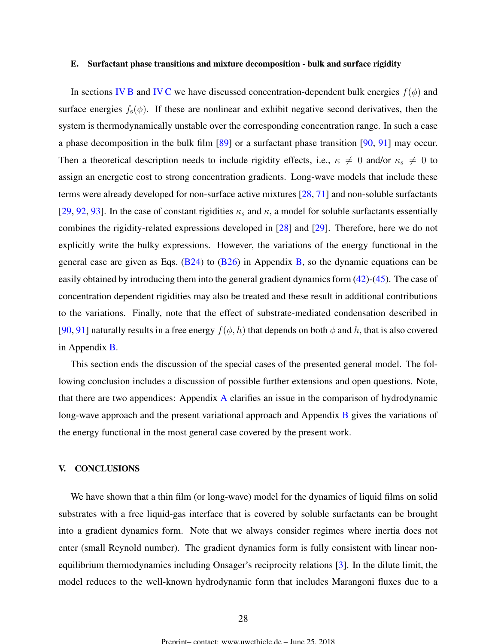### <span id="page-27-0"></span>E. Surfactant phase transitions and mixture decomposition - bulk and surface rigidity

In sections [IV B](#page-22-0) and [IV C](#page-23-0) we have discussed concentration-dependent bulk energies  $f(\phi)$  and surface energies  $f_s(\phi)$ . If these are nonlinear and exhibit negative second derivatives, then the system is thermodynamically unstable over the corresponding concentration range. In such a case a phase decomposition in the bulk film [\[89\]](#page-43-0) or a surfactant phase transition [\[90,](#page-44-0) [91\]](#page-44-0) may occur. Then a theoretical description needs to include rigidity effects, i.e.,  $\kappa \neq 0$  and/or  $\kappa_s \neq 0$  to assign an energetic cost to strong concentration gradients. Long-wave models that include these terms were already developed for non-surface active mixtures [\[28,](#page-39-0) [71\]](#page-42-0) and non-soluble surfactants [\[29,](#page-39-0) [92,](#page-44-0) [93\]](#page-44-0). In the case of constant rigidities  $\kappa_s$  and  $\kappa$ , a model for soluble surfactants essentially combines the rigidity-related expressions developed in [\[28\]](#page-39-0) and [\[29\]](#page-39-0). Therefore, here we do not explicitly write the bulky expressions. However, the variations of the energy functional in the general case are given as Eqs.  $(B24)$  to  $(B26)$  in Appendix [B,](#page-34-0) so the dynamic equations can be easily obtained by introducing them into the general gradient dynamics form [\(42\)](#page-15-0)-[\(45\)](#page-15-0). The case of concentration dependent rigidities may also be treated and these result in additional contributions to the variations. Finally, note that the effect of substrate-mediated condensation described in [\[90,](#page-44-0) [91\]](#page-44-0) naturally results in a free energy  $f(\phi, h)$  that depends on both  $\phi$  and h, that is also covered in Appendix [B.](#page-34-0)

This section ends the discussion of the special cases of the presented general model. The following conclusion includes a discussion of possible further extensions and open questions. Note, that there are two appendices: Appendix [A](#page-32-0) clarifies an issue in the comparison of hydrodynamic long-wave approach and the present variational approach and Appendix [B](#page-34-0) gives the variations of the energy functional in the most general case covered by the present work.

## V. CONCLUSIONS

We have shown that a thin film (or long-wave) model for the dynamics of liquid films on solid substrates with a free liquid-gas interface that is covered by soluble surfactants can be brought into a gradient dynamics form. Note that we always consider regimes where inertia does not enter (small Reynold number). The gradient dynamics form is fully consistent with linear nonequilibrium thermodynamics including Onsager's reciprocity relations [\[3\]](#page-37-0). In the dilute limit, the model reduces to the well-known hydrodynamic form that includes Marangoni fluxes due to a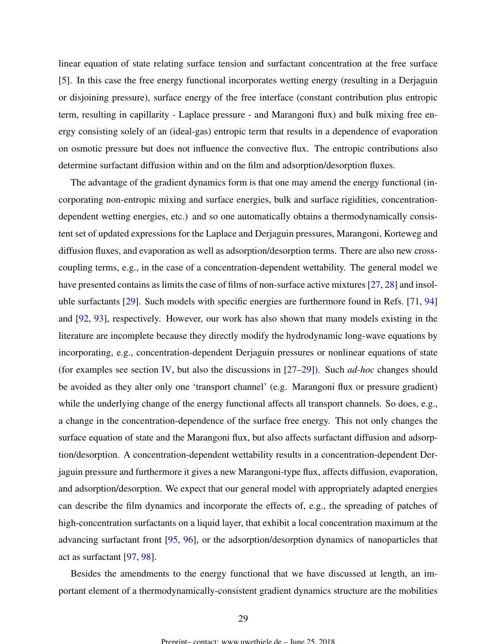linear equation of state relating surface tension and surfactant concentration at the free surface [\[5\]](#page-38-0). In this case the free energy functional incorporates wetting energy (resulting in a Derjaguin or disjoining pressure), surface energy of the free interface (constant contribution plus entropic term, resulting in capillarity - Laplace pressure - and Marangoni flux) and bulk mixing free energy consisting solely of an (ideal-gas) entropic term that results in a dependence of evaporation on osmotic pressure but does not influence the convective flux. The entropic contributions also determine surfactant diffusion within and on the film and adsorption/desorption fluxes.

The advantage of the gradient dynamics form is that one may amend the energy functional (incorporating non-entropic mixing and surface energies, bulk and surface rigidities, concentrationdependent wetting energies, etc.) and so one automatically obtains a thermodynamically consistent set of updated expressions for the Laplace and Derjaguin pressures, Marangoni, Korteweg and diffusion fluxes, and evaporation as well as adsorption/desorption terms. There are also new crosscoupling terms, e.g., in the case of a concentration-dependent wettability. The general model we have presented contains as limits the case of films of non-surface active mixtures [\[27,](#page-39-0) [28\]](#page-39-0) and insoluble surfactants [\[29\]](#page-39-0). Such models with specific energies are furthermore found in Refs. [\[71,](#page-42-0) [94\]](#page-44-0) and [\[92,](#page-44-0) [93\]](#page-44-0), respectively. However, our work has also shown that many models existing in the literature are incomplete because they directly modify the hydrodynamic long-wave equations by incorporating, e.g., concentration-dependent Derjaguin pressures or nonlinear equations of state (for examples see section [IV,](#page-20-0) but also the discussions in [\[27–29\]](#page-39-0)). Such *ad-hoc* changes should be avoided as they alter only one 'transport channel' (e.g. Marangoni flux or pressure gradient) while the underlying change of the energy functional affects all transport channels. So does, e.g., a change in the concentration-dependence of the surface free energy. This not only changes the surface equation of state and the Marangoni flux, but also affects surfactant diffusion and adsorption/desorption. A concentration-dependent wettability results in a concentration-dependent Derjaguin pressure and furthermore it gives a new Marangoni-type flux, affects diffusion, evaporation, and adsorption/desorption. We expect that our general model with appropriately adapted energies can describe the film dynamics and incorporate the effects of, e.g., the spreading of patches of high-concentration surfactants on a liquid layer, that exhibit a local concentration maximum at the advancing surfactant front [\[95,](#page-44-0) [96\]](#page-44-0), or the adsorption/desorption dynamics of nanoparticles that act as surfactant [\[97,](#page-44-0) [98\]](#page-44-0).

Besides the amendments to the energy functional that we have discussed at length, an important element of a thermodynamically-consistent gradient dynamics structure are the mobilities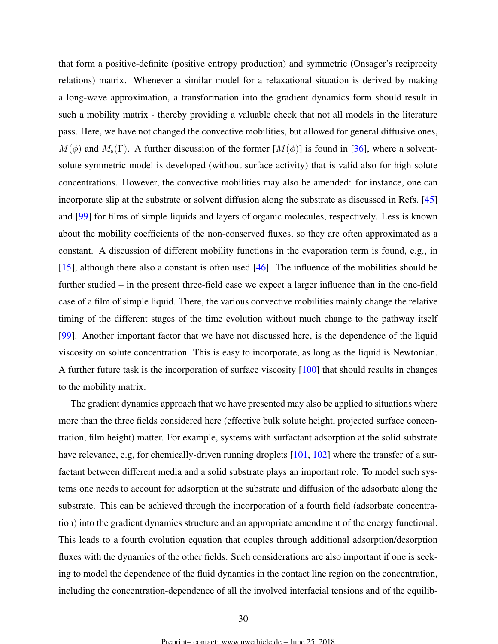that form a positive-definite (positive entropy production) and symmetric (Onsager's reciprocity relations) matrix. Whenever a similar model for a relaxational situation is derived by making a long-wave approximation, a transformation into the gradient dynamics form should result in such a mobility matrix - thereby providing a valuable check that not all models in the literature pass. Here, we have not changed the convective mobilities, but allowed for general diffusive ones,  $M(\phi)$  and  $M_s(\Gamma)$ . A further discussion of the former  $[M(\phi)]$  is found in [\[36\]](#page-40-0), where a solventsolute symmetric model is developed (without surface activity) that is valid also for high solute concentrations. However, the convective mobilities may also be amended: for instance, one can incorporate slip at the substrate or solvent diffusion along the substrate as discussed in Refs. [\[45\]](#page-40-0) and [\[99\]](#page-44-0) for films of simple liquids and layers of organic molecules, respectively. Less is known about the mobility coefficients of the non-conserved fluxes, so they are often approximated as a constant. A discussion of different mobility functions in the evaporation term is found, e.g., in [\[15\]](#page-38-0), although there also a constant is often used [\[46\]](#page-40-0). The influence of the mobilities should be further studied – in the present three-field case we expect a larger influence than in the one-field case of a film of simple liquid. There, the various convective mobilities mainly change the relative timing of the different stages of the time evolution without much change to the pathway itself [\[99\]](#page-44-0). Another important factor that we have not discussed here, is the dependence of the liquid viscosity on solute concentration. This is easy to incorporate, as long as the liquid is Newtonian. A further future task is the incorporation of surface viscosity [\[100\]](#page-44-0) that should results in changes to the mobility matrix.

The gradient dynamics approach that we have presented may also be applied to situations where more than the three fields considered here (effective bulk solute height, projected surface concentration, film height) matter. For example, systems with surfactant adsorption at the solid substrate have relevance, e.g, for chemically-driven running droplets [\[101,](#page-44-0) [102\]](#page-45-0) where the transfer of a surfactant between different media and a solid substrate plays an important role. To model such systems one needs to account for adsorption at the substrate and diffusion of the adsorbate along the substrate. This can be achieved through the incorporation of a fourth field (adsorbate concentration) into the gradient dynamics structure and an appropriate amendment of the energy functional. This leads to a fourth evolution equation that couples through additional adsorption/desorption fluxes with the dynamics of the other fields. Such considerations are also important if one is seeking to model the dependence of the fluid dynamics in the contact line region on the concentration, including the concentration-dependence of all the involved interfacial tensions and of the equilib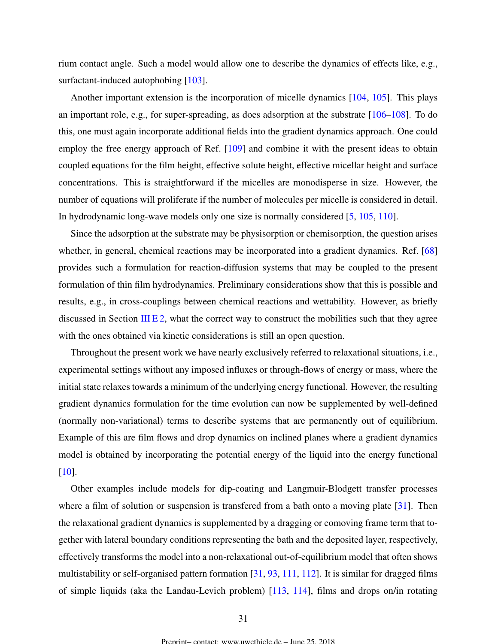rium contact angle. Such a model would allow one to describe the dynamics of effects like, e.g., surfactant-induced autophobing [\[103\]](#page-45-0).

Another important extension is the incorporation of micelle dynamics [\[104,](#page-45-0) [105\]](#page-45-0). This plays an important role, e.g., for super-spreading, as does adsorption at the substrate [\[106–108\]](#page-45-0). To do this, one must again incorporate additional fields into the gradient dynamics approach. One could employ the free energy approach of Ref. [\[109\]](#page-45-0) and combine it with the present ideas to obtain coupled equations for the film height, effective solute height, effective micellar height and surface concentrations. This is straightforward if the micelles are monodisperse in size. However, the number of equations will proliferate if the number of molecules per micelle is considered in detail. In hydrodynamic long-wave models only one size is normally considered [\[5,](#page-38-0) [105,](#page-45-0) [110\]](#page-45-0).

Since the adsorption at the substrate may be physisorption or chemisorption, the question arises whether, in general, chemical reactions may be incorporated into a gradient dynamics. Ref. [\[68\]](#page-42-0) provides such a formulation for reaction-diffusion systems that may be coupled to the present formulation of thin film hydrodynamics. Preliminary considerations show that this is possible and results, e.g., in cross-couplings between chemical reactions and wettability. However, as briefly discussed in Section [III E 2,](#page-17-0) what the correct way to construct the mobilities such that they agree with the ones obtained via kinetic considerations is still an open question.

Throughout the present work we have nearly exclusively referred to relaxational situations, i.e., experimental settings without any imposed influxes or through-flows of energy or mass, where the initial state relaxes towards a minimum of the underlying energy functional. However, the resulting gradient dynamics formulation for the time evolution can now be supplemented by well-defined (normally non-variational) terms to describe systems that are permanently out of equilibrium. Example of this are film flows and drop dynamics on inclined planes where a gradient dynamics model is obtained by incorporating the potential energy of the liquid into the energy functional [\[10\]](#page-38-0).

Other examples include models for dip-coating and Langmuir-Blodgett transfer processes where a film of solution or suspension is transfered from a bath onto a moving plate [\[31\]](#page-39-0). Then the relaxational gradient dynamics is supplemented by a dragging or comoving frame term that together with lateral boundary conditions representing the bath and the deposited layer, respectively, effectively transforms the model into a non-relaxational out-of-equilibrium model that often shows multistability or self-organised pattern formation [\[31,](#page-39-0) [93,](#page-44-0) [111,](#page-45-0) [112\]](#page-45-0). It is similar for dragged films of simple liquids (aka the Landau-Levich problem) [\[113,](#page-45-0) [114\]](#page-45-0), films and drops on/in rotating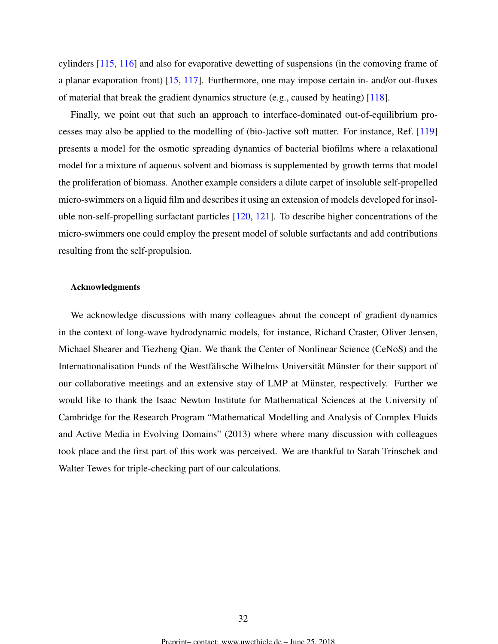cylinders [\[115,](#page-46-0) [116\]](#page-46-0) and also for evaporative dewetting of suspensions (in the comoving frame of a planar evaporation front) [\[15,](#page-38-0) [117\]](#page-46-0). Furthermore, one may impose certain in- and/or out-fluxes of material that break the gradient dynamics structure (e.g., caused by heating) [\[118\]](#page-46-0).

Finally, we point out that such an approach to interface-dominated out-of-equilibrium processes may also be applied to the modelling of (bio-)active soft matter. For instance, Ref. [\[119\]](#page-46-0) presents a model for the osmotic spreading dynamics of bacterial biofilms where a relaxational model for a mixture of aqueous solvent and biomass is supplemented by growth terms that model the proliferation of biomass. Another example considers a dilute carpet of insoluble self-propelled micro-swimmers on a liquid film and describes it using an extension of models developed for insoluble non-self-propelling surfactant particles [\[120,](#page-46-0) [121\]](#page-46-0). To describe higher concentrations of the micro-swimmers one could employ the present model of soluble surfactants and add contributions resulting from the self-propulsion.

## Acknowledgments

We acknowledge discussions with many colleagues about the concept of gradient dynamics in the context of long-wave hydrodynamic models, for instance, Richard Craster, Oliver Jensen, Michael Shearer and Tiezheng Qian. We thank the Center of Nonlinear Science (CeNoS) and the Internationalisation Funds of the Westfälische Wilhelms Universität Münster for their support of our collaborative meetings and an extensive stay of LMP at Münster, respectively. Further we would like to thank the Isaac Newton Institute for Mathematical Sciences at the University of Cambridge for the Research Program "Mathematical Modelling and Analysis of Complex Fluids and Active Media in Evolving Domains" (2013) where where many discussion with colleagues took place and the first part of this work was perceived. We are thankful to Sarah Trinschek and Walter Tewes for triple-checking part of our calculations.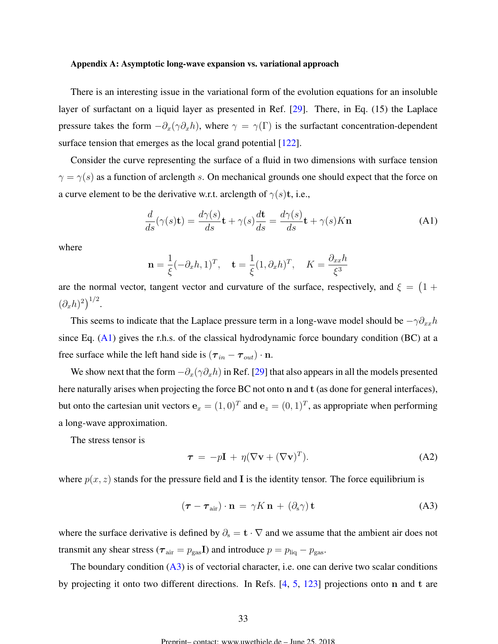#### <span id="page-32-0"></span>Appendix A: Asymptotic long-wave expansion vs. variational approach

There is an interesting issue in the variational form of the evolution equations for an insoluble layer of surfactant on a liquid layer as presented in Ref. [\[29\]](#page-39-0). There, in Eq. (15) the Laplace pressure takes the form  $-\partial_x(\gamma \partial_x h)$ , where  $\gamma = \gamma(\Gamma)$  is the surfactant concentration-dependent surface tension that emerges as the local grand potential [\[122\]](#page-46-0).

Consider the curve representing the surface of a fluid in two dimensions with surface tension  $\gamma = \gamma(s)$  as a function of arclength s. On mechanical grounds one should expect that the force on a curve element to be the derivative w.r.t. arclength of  $\gamma(s)$ t, i.e.,

$$
\frac{d}{ds}(\gamma(s)\mathbf{t}) = \frac{d\gamma(s)}{ds}\mathbf{t} + \gamma(s)\frac{d\mathbf{t}}{ds} = \frac{d\gamma(s)}{ds}\mathbf{t} + \gamma(s)K\mathbf{n}
$$
\n(A1)

where

$$
\mathbf{n} = \frac{1}{\xi}(-\partial_x h, 1)^T, \quad \mathbf{t} = \frac{1}{\xi}(1, \partial_x h)^T, \quad K = \frac{\partial_{xx} h}{\xi^3}
$$

are the normal vector, tangent vector and curvature of the surface, respectively, and  $\xi = (1 +$  $(\partial_x h)^2\big)^{1/2}.$ 

This seems to indicate that the Laplace pressure term in a long-wave model should be  $-\gamma \partial_{xx}h$ since Eq. (A1) gives the r.h.s. of the classical hydrodynamic force boundary condition (BC) at a free surface while the left hand side is  $(\tau_{in} - \tau_{out}) \cdot n$ .

We show next that the form  $-\partial_x(\gamma \partial_x h)$  in Ref. [\[29\]](#page-39-0) that also appears in all the models presented here naturally arises when projecting the force BC not onto n and t (as done for general interfaces), but onto the cartesian unit vectors  $\mathbf{e}_x = (1,0)^T$  and  $\mathbf{e}_z = (0,1)^T$ , as appropriate when performing a long-wave approximation.

The stress tensor is

$$
\tau = -p\mathbf{I} + \eta (\nabla \mathbf{v} + (\nabla \mathbf{v})^T). \tag{A2}
$$

where  $p(x, z)$  stands for the pressure field and I is the identity tensor. The force equilibrium is

$$
(\boldsymbol{\tau} - \boldsymbol{\tau}_{\text{air}}) \cdot \mathbf{n} = \gamma K \mathbf{n} + (\partial_s \gamma) \mathbf{t}
$$
 (A3)

where the surface derivative is defined by  $\partial_s = \mathbf{t} \cdot \nabla$  and we assume that the ambient air does not transmit any shear stress ( $\tau_{\text{air}} = p_{\text{gas}}$ I) and introduce  $p = p_{\text{liq}} - p_{\text{gas}}$ .

The boundary condition  $(A3)$  is of vectorial character, i.e. one can derive two scalar conditions by projecting it onto two different directions. In Refs. [\[4,](#page-37-0) [5,](#page-38-0) [123\]](#page-46-0) projections onto n and t are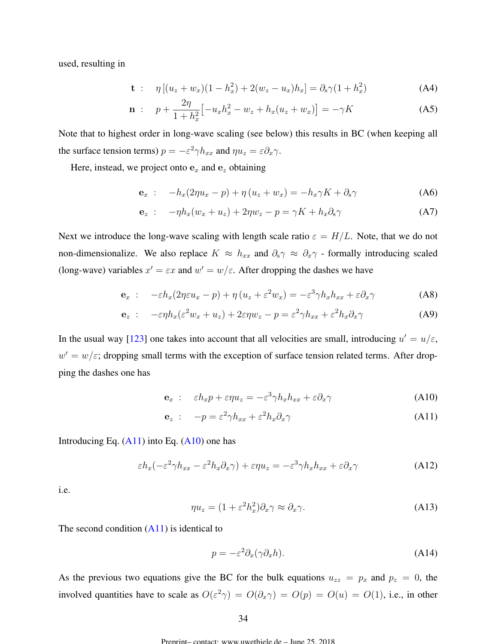used, resulting in

$$
\mathbf{t} : \eta \left[ (u_z + w_x)(1 - h_x^2) + 2(w_z - u_x)h_x \right] = \partial_s \gamma (1 + h_x^2) \tag{A4}
$$

$$
\mathbf{n} : \quad p + \frac{2\eta}{1 + h_x^2} \left[ -u_x h_x^2 - w_z + h_x (u_z + w_x) \right] = -\gamma K \tag{A5}
$$

Note that to highest order in long-wave scaling (see below) this results in BC (when keeping all the surface tension terms)  $p = -\varepsilon^2 \gamma h_{xx}$  and  $\eta u_z = \varepsilon \partial_x \gamma$ .

Here, instead, we project onto  $e_x$  and  $e_z$  obtaining

$$
\mathbf{e}_x : -h_x(2\eta u_x - p) + \eta (u_z + w_x) = -h_x \gamma K + \partial_s \gamma \tag{A6}
$$

$$
\mathbf{e}_z : -\eta h_x (w_x + u_z) + 2\eta w_z - p = \gamma K + h_x \partial_s \gamma \tag{A7}
$$

Next we introduce the long-wave scaling with length scale ratio  $\varepsilon = H/L$ . Note, that we do not non-dimensionalize. We also replace  $K \approx h_{xx}$  and  $\partial_s \gamma \approx \partial_x \gamma$  - formally introducing scaled (long-wave) variables  $x' = \varepsilon x$  and  $w' = w/\varepsilon$ . After dropping the dashes we have

$$
\mathbf{e}_x : -\varepsilon h_x (2\eta \varepsilon u_x - p) + \eta \left( u_z + \varepsilon^2 w_x \right) = -\varepsilon^3 \gamma h_x h_{xx} + \varepsilon \partial_x \gamma \tag{A8}
$$

$$
\mathbf{e}_z : -\varepsilon \eta h_x(\varepsilon^2 w_x + u_z) + 2\varepsilon \eta w_z - p = \varepsilon^2 \gamma h_{xx} + \varepsilon^2 h_x \partial_x \gamma \tag{A9}
$$

In the usual way [\[123\]](#page-46-0) one takes into account that all velocities are small, introducing  $u' = u/\varepsilon$ ,  $w' = w/\varepsilon$ ; dropping small terms with the exception of surface tension related terms. After dropping the dashes one has

$$
\mathbf{e}_x : \quad \varepsilon h_x p + \varepsilon \eta u_z = -\varepsilon^3 \gamma h_x h_{xx} + \varepsilon \partial_x \gamma \tag{A10}
$$

$$
\mathbf{e}_z : -p = \varepsilon^2 \gamma h_{xx} + \varepsilon^2 h_x \partial_x \gamma \tag{A11}
$$

Introducing Eq.  $(A11)$  into Eq.  $(A10)$  one has

$$
\varepsilon h_x(-\varepsilon^2 \gamma h_{xx} - \varepsilon^2 h_x \partial_x \gamma) + \varepsilon \eta u_z = -\varepsilon^3 \gamma h_x h_{xx} + \varepsilon \partial_x \gamma \tag{A12}
$$

i.e.

$$
\eta u_z = (1 + \varepsilon^2 h_x^2) \partial_x \gamma \approx \partial_x \gamma. \tag{A13}
$$

The second condition  $(A11)$  is identical to

$$
p = -\varepsilon^2 \partial_x (\gamma \partial_x h). \tag{A14}
$$

As the previous two equations give the BC for the bulk equations  $u_{zz} = p_x$  and  $p_z = 0$ , the involved quantities have to scale as  $O(\varepsilon^2 \gamma) = O(\partial_x \gamma) = O(p) = O(u) = O(1)$ , i.e., in other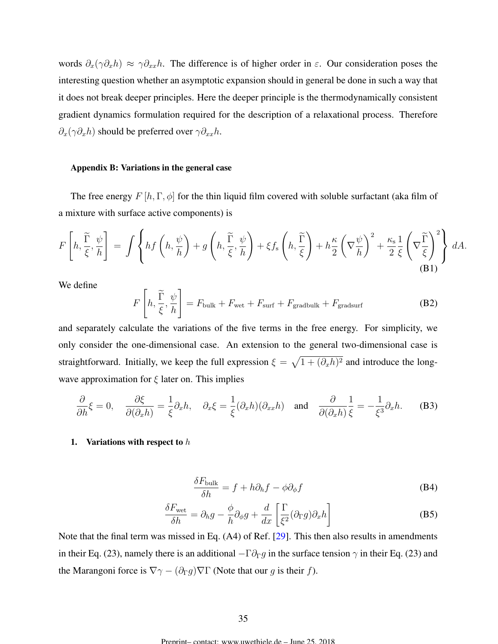<span id="page-34-0"></span>words  $\partial_x(\gamma \partial_x h) \approx \gamma \partial_{xx} h$ . The difference is of higher order in  $\varepsilon$ . Our consideration poses the interesting question whether an asymptotic expansion should in general be done in such a way that it does not break deeper principles. Here the deeper principle is the thermodynamically consistent gradient dynamics formulation required for the description of a relaxational process. Therefore  $\partial_x(\gamma \partial_x h)$  should be preferred over  $\gamma \partial_{xx}h$ .

## Appendix B: Variations in the general case

The free energy  $F[h,\Gamma,\phi]$  for the thin liquid film covered with soluble surfactant (aka film of a mixture with surface active components) is

$$
F\left[h, \frac{\widetilde{\Gamma}}{\xi}, \frac{\psi}{h}\right] = \int \left\{ hf\left(h, \frac{\psi}{h}\right) + g\left(h, \frac{\widetilde{\Gamma}}{\xi}, \frac{\psi}{h}\right) + \xi f_s\left(h, \frac{\widetilde{\Gamma}}{\xi}\right) + h\frac{\kappa}{2}\left(\nabla\frac{\psi}{h}\right)^2 + \frac{\kappa_s}{2}\frac{1}{\xi}\left(\nabla\frac{\widetilde{\Gamma}}{\xi}\right)^2\right\} dA.
$$
\n(B1)

We define

$$
F\left[h, \frac{\widetilde{\Gamma}}{\xi}, \frac{\psi}{h}\right] = F_{\text{bulk}} + F_{\text{wet}} + F_{\text{surf}} + F_{\text{gradbulk}} + F_{\text{gradsurf}} \tag{B2}
$$

and separately calculate the variations of the five terms in the free energy. For simplicity, we only consider the one-dimensional case. An extension to the general two-dimensional case is straightforward. Initially, we keep the full expression  $\xi = \sqrt{1 + (\partial_x h)^2}$  and introduce the longwave approximation for  $\xi$  later on. This implies

$$
\frac{\partial}{\partial h}\xi = 0, \quad \frac{\partial \xi}{\partial (\partial_x h)} = \frac{1}{\xi}\partial_x h, \quad \partial_x \xi = \frac{1}{\xi}(\partial_x h)(\partial_{xx} h) \quad \text{and} \quad \frac{\partial}{\partial (\partial_x h)}\frac{1}{\xi} = -\frac{1}{\xi^3}\partial_x h. \tag{B3}
$$

## 1. Variations with respect to  $h$

$$
\frac{\delta F_{\text{bulk}}}{\delta h} = f + h \partial_h f - \phi \partial_\phi f \tag{B4}
$$

$$
\frac{\delta F_{\text{wet}}}{\delta h} = \partial_h g - \frac{\phi}{h} \partial_\phi g + \frac{d}{dx} \left[ \frac{\Gamma}{\xi^2} (\partial_\Gamma g) \partial_x h \right]
$$
(B5)

Note that the final term was missed in Eq. (A4) of Ref. [\[29\]](#page-39-0). This then also results in amendments in their Eq. (23), namely there is an additional  $-\Gamma \partial_{\Gamma} g$  in the surface tension  $\gamma$  in their Eq. (23) and the Marangoni force is  $\nabla \gamma - (\partial_{\Gamma} g) \nabla \Gamma$  (Note that our g is their f).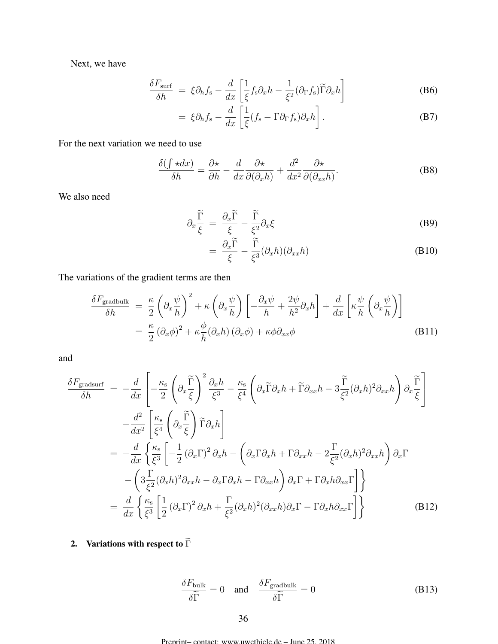Next, we have

$$
\frac{\delta F_{\text{surf}}}{\delta h} = \xi \partial_h f_s - \frac{d}{dx} \left[ \frac{1}{\xi} f_s \partial_x h - \frac{1}{\xi^2} (\partial_\Gamma f_s) \widetilde{\Gamma} \partial_x h \right]
$$
(B6)

$$
= \xi \partial_h f_s - \frac{d}{dx} \left[ \frac{1}{\xi} (f_s - \Gamma \partial_\Gamma f_s) \partial_x h \right]. \tag{B7}
$$

For the next variation we need to use

$$
\frac{\delta(\int \star dx)}{\delta h} = \frac{\partial \star}{\partial h} - \frac{d}{dx} \frac{\partial \star}{\partial(\partial_x h)} + \frac{d^2}{dx^2} \frac{\partial \star}{\partial(\partial_{xx} h)}.
$$
 (B8)

We also need

$$
\partial_x \frac{\widetilde{\Gamma}}{\xi} = \frac{\partial_x \widetilde{\Gamma}}{\xi} - \frac{\widetilde{\Gamma}}{\xi^2} \partial_x \xi \tag{B9}
$$

$$
= \frac{\partial_x \widetilde{\Gamma}}{\xi} - \frac{\widetilde{\Gamma}}{\xi^3} (\partial_x h)(\partial_{xx} h) \tag{B10}
$$

The variations of the gradient terms are then

$$
\frac{\delta F_{\text{gradbulk}}}{\delta h} = \frac{\kappa}{2} \left( \partial_x \frac{\psi}{h} \right)^2 + \kappa \left( \partial_x \frac{\psi}{h} \right) \left[ -\frac{\partial_x \psi}{h} + \frac{2\psi}{h^2} \partial_x h \right] + \frac{d}{dx} \left[ \kappa \frac{\psi}{h} \left( \partial_x \frac{\psi}{h} \right) \right]
$$

$$
= \frac{\kappa}{2} \left( \partial_x \phi \right)^2 + \kappa \frac{\phi}{h} (\partial_x h) \left( \partial_x \phi \right) + \kappa \phi \partial_{xx} \phi \tag{B11}
$$

and

$$
\frac{\delta F_{\text{gradsurf}}}{\delta h} = -\frac{d}{dx} \left[ -\frac{\kappa_{\text{s}}}{2} \left( \partial_x \frac{\tilde{\Gamma}}{\xi} \right)^2 \frac{\partial_x h}{\xi^3} - \frac{\kappa_{\text{s}}}{\xi^4} \left( \partial_x \tilde{\Gamma} \partial_x h + \tilde{\Gamma} \partial_{xx} h - 3 \frac{\tilde{\Gamma}}{\xi^2} (\partial_x h)^2 \partial_{xx} h \right) \partial_x \frac{\tilde{\Gamma}}{\xi} \right]
$$
  
\n
$$
- \frac{d^2}{dx^2} \left[ \frac{\kappa_{\text{s}}}{\xi^4} \left( \partial_x \frac{\tilde{\Gamma}}{\xi} \right) \tilde{\Gamma} \partial_x h \right]
$$
  
\n
$$
= -\frac{d}{dx} \left\{ \frac{\kappa_{\text{s}}}{\xi^3} \left[ -\frac{1}{2} (\partial_x \Gamma)^2 \partial_x h - \left( \partial_x \Gamma \partial_x h + \Gamma \partial_{xx} h - 2 \frac{\Gamma}{\xi^2} (\partial_x h)^2 \partial_{xx} h \right) \partial_x \Gamma \right.
$$
  
\n
$$
- \left( 3 \frac{\Gamma}{\xi^2} (\partial_x h)^2 \partial_{xx} h - \partial_x \Gamma \partial_x h - \Gamma \partial_{xx} h \right) \partial_x \Gamma + \Gamma \partial_x h \partial_{xx} \Gamma \right] \}
$$
  
\n
$$
= \frac{d}{dx} \left\{ \frac{\kappa_{\text{s}}}{\xi^3} \left[ \frac{1}{2} (\partial_x \Gamma)^2 \partial_x h + \frac{\Gamma}{\xi^2} (\partial_x h)^2 (\partial_{xx} h) \partial_x \Gamma - \Gamma \partial_x h \partial_{xx} \Gamma \right] \right\}
$$
(B12)

2. Variations with respect to  $\widetilde{\Gamma}$ 

$$
\frac{\delta F_{\text{bulk}}}{\delta \widetilde{\Gamma}} = 0 \quad \text{and} \quad \frac{\delta F_{\text{gradbulk}}}{\delta \widetilde{\Gamma}} = 0 \tag{B13}
$$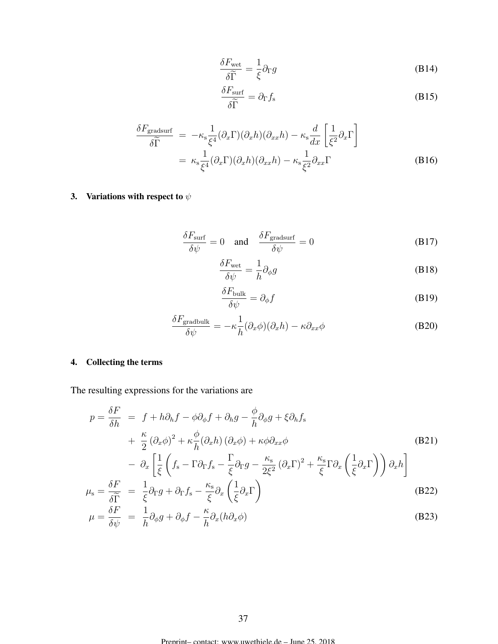$$
\frac{\delta F_{\text{wet}}}{\delta \widetilde{\Gamma}} = \frac{1}{\xi} \partial_{\Gamma} g \tag{B14}
$$

$$
\frac{\delta F_{\rm surf}}{\delta \widetilde{\Gamma}} = \partial_{\Gamma} f_{\rm s} \tag{B15}
$$

$$
\frac{\delta F_{\text{gradsurf}}}{\delta \widetilde{\Gamma}} = -\kappa_{\text{s}} \frac{1}{\xi^{4}} (\partial_{x} \Gamma)(\partial_{x} h)(\partial_{xx} h) - \kappa_{\text{s}} \frac{d}{dx} \left[ \frac{1}{\xi^{2}} \partial_{x} \Gamma \right]
$$
\n
$$
= \kappa_{\text{s}} \frac{1}{\xi^{4}} (\partial_{x} \Gamma)(\partial_{x} h)(\partial_{xx} h) - \kappa_{\text{s}} \frac{1}{\xi^{2}} \partial_{xx} \Gamma
$$
\n(B16)

3. Variations with respect to  $\psi$ 

$$
\frac{\delta F_{\text{surf}}}{\delta \psi} = 0 \quad \text{and} \quad \frac{\delta F_{\text{gradsurf}}}{\delta \psi} = 0 \tag{B17}
$$

$$
\frac{\delta F_{\text{wet}}}{\delta \psi} = \frac{1}{h} \partial_{\phi} g \tag{B18}
$$

$$
\frac{\delta F_{\text{bulk}}}{\delta \psi} = \partial_{\phi} f \tag{B19}
$$

$$
\frac{\delta F_{\text{gradbulk}}}{\delta \psi} = -\kappa \frac{1}{h} (\partial_x \phi)(\partial_x h) - \kappa \partial_{xx} \phi \tag{B20}
$$

# 4. Collecting the terms

The resulting expressions for the variations are

$$
p = \frac{\delta F}{\delta h} = f + h\partial_h f - \phi \partial_\phi f + \partial_h g - \frac{\phi}{h} \partial_\phi g + \xi \partial_h f_s
$$
  
+  $\frac{\kappa}{2} (\partial_x \phi)^2 + \kappa \frac{\phi}{h} (\partial_x h) (\partial_x \phi) + \kappa \phi \partial_{xx} \phi$  (B21)  
-  $\partial_x \left[ \frac{1}{\xi} \left( f_s - \Gamma \partial_\Gamma f_s - \frac{\Gamma}{\xi} \partial_\Gamma g - \frac{\kappa_s}{2\xi^2} (\partial_x \Gamma)^2 + \frac{\kappa_s}{\xi} \Gamma \partial_x \left( \frac{1}{\xi} \partial_x \Gamma \right) \right) \partial_x h \right]$   
 $\delta F$  1<sub>3,3,4</sub>,  $\delta f$  1<sub>3,5</sub>,  $\delta f$  1<sub>3,5</sub>,  $\delta f$  0<sub>3,5</sub> (B22)

$$
\mu_{\rm s} = \frac{\partial F}{\partial \widetilde{\Gamma}} = \frac{1}{\xi} \partial_{\Gamma} g + \partial_{\Gamma} f_{\rm s} - \frac{\kappa_{\rm s}}{\xi} \partial_x \left( \frac{1}{\xi} \partial_x \Gamma \right)
$$
(B22)

$$
\mu = \frac{\delta F}{\delta \psi} = \frac{1}{h} \partial_{\phi} g + \partial_{\phi} f - \frac{\kappa}{h} \partial_{x} (h \partial_{x} \phi) \tag{B23}
$$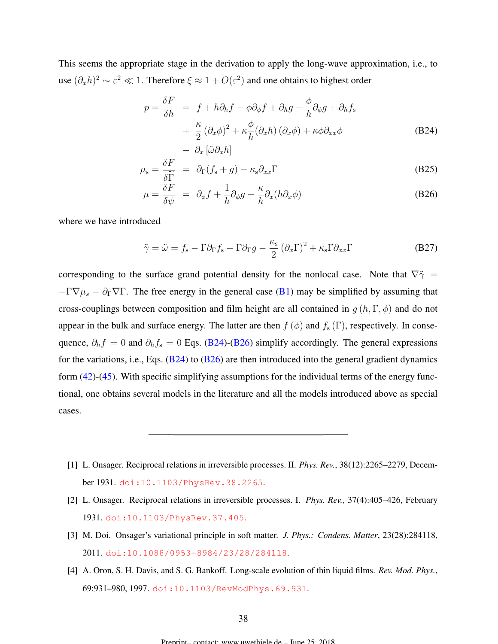<span id="page-37-0"></span>This seems the appropriate stage in the derivation to apply the long-wave approximation, i.e., to use  $(\partial_x h)^2 \sim \varepsilon^2 \ll 1$ . Therefore  $\xi \approx 1 + O(\varepsilon^2)$  and one obtains to highest order

$$
p = \frac{\delta F}{\delta h} = f + h\partial_h f - \phi \partial_\phi f + \partial_h g - \frac{\phi}{h} \partial_\phi g + \partial_h f_s
$$
  
+ 
$$
\frac{\kappa}{2} (\partial_x \phi)^2 + \kappa \frac{\phi}{h} (\partial_x h) (\partial_x \phi) + \kappa \phi \partial_{xx} \phi
$$
  
- 
$$
\partial_x [\tilde{\omega} \partial_x h]
$$
 (B24)

$$
\mu_{\rm s} = \frac{\delta F}{\delta \widetilde{\Gamma}} = \partial_{\Gamma} (f_{\rm s} + g) - \kappa_{\rm s} \partial_{xx} \Gamma
$$
\n(B25)

$$
\mu = \frac{\delta F}{\delta \psi} = \partial_{\phi} f + \frac{1}{h} \partial_{\phi} g - \frac{\kappa}{h} \partial_{x} (h \partial_{x} \phi) \tag{B26}
$$

where we have introduced

$$
\tilde{\gamma} = \tilde{\omega} = f_{\rm s} - \Gamma \partial_{\Gamma} f_{\rm s} - \Gamma \partial_{\Gamma} g - \frac{\kappa_{\rm s}}{2} (\partial_x \Gamma)^2 + \kappa_{\rm s} \Gamma \partial_{xx} \Gamma
$$
 (B27)

corresponding to the surface grand potential density for the nonlocal case. Note that  $\nabla \tilde{\gamma} =$  $-\Gamma \nabla \mu_s - \partial_{\Gamma} \nabla \Gamma$ . The free energy in the general case [\(B1\)](#page-34-0) may be simplified by assuming that cross-couplings between composition and film height are all contained in  $g(h, \Gamma, \phi)$  and do not appear in the bulk and surface energy. The latter are then  $f(\phi)$  and  $f_s(\Gamma)$ , respectively. In consequence,  $\partial_h f = 0$  and  $\partial_h f_s = 0$  Eqs. (B24)-(B26) simplify accordingly. The general expressions for the variations, i.e., Eqs.  $(B24)$  to  $(B26)$  are then introduced into the general gradient dynamics form [\(42\)](#page-15-0)-[\(45\)](#page-15-0). With specific simplifying assumptions for the individual terms of the energy functional, one obtains several models in the literature and all the models introduced above as special cases.

- [1] L. Onsager. Reciprocal relations in irreversible processes. II. *Phys. Rev.*, 38(12):2265–2279, December 1931. [doi:10.1103/PhysRev.38.2265](http://dx.doi.org/10.1103/PhysRev.38.2265).
- [2] L. Onsager. Reciprocal relations in irreversible processes. I. *Phys. Rev.*, 37(4):405–426, February 1931. [doi:10.1103/PhysRev.37.405](http://dx.doi.org/10.1103/PhysRev.37.405).
- [3] M. Doi. Onsager's variational principle in soft matter. *J. Phys.: Condens. Matter*, 23(28):284118, 2011. [doi:10.1088/0953-8984/23/28/284118](http://dx.doi.org/10.1088/0953-8984/23/28/284118).
- [4] A. Oron, S. H. Davis, and S. G. Bankoff. Long-scale evolution of thin liquid films. *Rev. Mod. Phys.*, 69:931–980, 1997. [doi:10.1103/RevModPhys.69.931](http://dx.doi.org/10.1103/RevModPhys.69.931).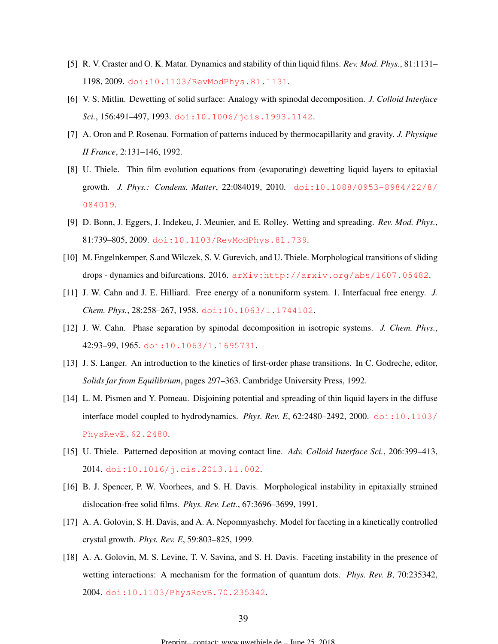- <span id="page-38-0"></span>[5] R. V. Craster and O. K. Matar. Dynamics and stability of thin liquid films. *Rev. Mod. Phys.*, 81:1131– 1198, 2009. [doi:10.1103/RevModPhys.81.1131](http://dx.doi.org/10.1103/RevModPhys.81.1131).
- [6] V. S. Mitlin. Dewetting of solid surface: Analogy with spinodal decomposition. *J. Colloid Interface Sci.*, 156:491–497, 1993. [doi:10.1006/jcis.1993.1142](http://dx.doi.org/10.1006/jcis.1993.1142).
- [7] A. Oron and P. Rosenau. Formation of patterns induced by thermocapillarity and gravity. *J. Physique II France*, 2:131–146, 1992.
- [8] U. Thiele. Thin film evolution equations from (evaporating) dewetting liquid layers to epitaxial growth. *J. Phys.: Condens. Matter*, 22:084019, 2010. [doi:10.1088/0953-8984/22/8/](http://dx.doi.org/10.1088/0953-8984/22/8/084019) [084019](http://dx.doi.org/10.1088/0953-8984/22/8/084019).
- [9] D. Bonn, J. Eggers, J. Indekeu, J. Meunier, and E. Rolley. Wetting and spreading. *Rev. Mod. Phys.*, 81:739–805, 2009. [doi:10.1103/RevModPhys.81.739](http://dx.doi.org/10.1103/RevModPhys.81.739).
- [10] M. Engelnkemper, S.and Wilczek, S. V. Gurevich, and U. Thiele. Morphological transitions of sliding drops - dynamics and bifurcations. 2016. [arXiv:http://arxiv.org/abs/1607.05482](http://arxiv.org/abs/http://arxiv.org/abs/1607.05482).
- [11] J. W. Cahn and J. E. Hilliard. Free energy of a nonuniform system. 1. Interfacual free energy. *J. Chem. Phys.*, 28:258–267, 1958. [doi:10.1063/1.1744102](http://dx.doi.org/10.1063/1.1744102).
- [12] J. W. Cahn. Phase separation by spinodal decomposition in isotropic systems. *J. Chem. Phys.*, 42:93–99, 1965. [doi:10.1063/1.1695731](http://dx.doi.org/10.1063/1.1695731).
- [13] J. S. Langer. An introduction to the kinetics of first-order phase transitions. In C. Godreche, editor, *Solids far from Equilibrium*, pages 297–363. Cambridge University Press, 1992.
- [14] L. M. Pismen and Y. Pomeau. Disjoining potential and spreading of thin liquid layers in the diffuse interface model coupled to hydrodynamics. *Phys. Rev. E*, 62:2480–2492, 2000. [doi:10.1103/](http://dx.doi.org/10.1103/PhysRevE.62.2480) [PhysRevE.62.2480](http://dx.doi.org/10.1103/PhysRevE.62.2480).
- [15] U. Thiele. Patterned deposition at moving contact line. *Adv. Colloid Interface Sci.*, 206:399–413, 2014. [doi:10.1016/j.cis.2013.11.002](http://dx.doi.org/10.1016/j.cis.2013.11.002).
- [16] B. J. Spencer, P. W. Voorhees, and S. H. Davis. Morphological instability in epitaxially strained dislocation-free solid films. *Phys. Rev. Lett.*, 67:3696–3699, 1991.
- [17] A. A. Golovin, S. H. Davis, and A. A. Nepomnyashchy. Model for faceting in a kinetically controlled crystal growth. *Phys. Rev. E*, 59:803–825, 1999.
- [18] A. A. Golovin, M. S. Levine, T. V. Savina, and S. H. Davis. Faceting instability in the presence of wetting interactions: A mechanism for the formation of quantum dots. *Phys. Rev. B*, 70:235342, 2004. [doi:10.1103/PhysRevB.70.235342](http://dx.doi.org/10.1103/PhysRevB.70.235342).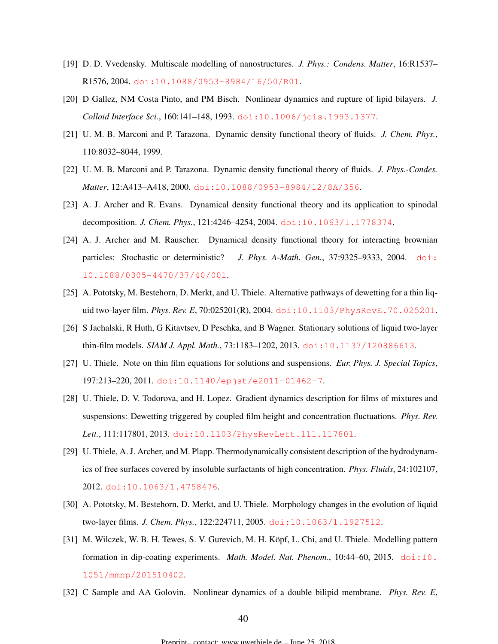- <span id="page-39-0"></span>[19] D. D. Vvedensky. Multiscale modelling of nanostructures. *J. Phys.: Condens. Matter*, 16:R1537– R1576, 2004. [doi:10.1088/0953-8984/16/50/R01](http://dx.doi.org/10.1088/0953-8984/16/50/R01).
- [20] D Gallez, NM Costa Pinto, and PM Bisch. Nonlinear dynamics and rupture of lipid bilayers. *J. Colloid Interface Sci.*, 160:141–148, 1993. [doi:10.1006/jcis.1993.1377](http://dx.doi.org/10.1006/jcis.1993.1377).
- [21] U. M. B. Marconi and P. Tarazona. Dynamic density functional theory of fluids. *J. Chem. Phys.*, 110:8032–8044, 1999.
- [22] U. M. B. Marconi and P. Tarazona. Dynamic density functional theory of fluids. *J. Phys.-Condes. Matter*, 12:A413–A418, 2000. [doi:10.1088/0953-8984/12/8A/356](http://dx.doi.org/10.1088/0953-8984/12/8A/356).
- [23] A. J. Archer and R. Evans. Dynamical density functional theory and its application to spinodal decomposition. *J. Chem. Phys.*, 121:4246–4254, 2004. [doi:10.1063/1.1778374](http://dx.doi.org/10.1063/1.1778374).
- [24] A. J. Archer and M. Rauscher. Dynamical density functional theory for interacting brownian particles: Stochastic or deterministic? *J. Phys. A-Math. Gen.*, 37:9325–9333, 2004. [doi:](http://dx.doi.org/10.1088/0305-4470/37/40/001) [10.1088/0305-4470/37/40/001](http://dx.doi.org/10.1088/0305-4470/37/40/001).
- [25] A. Pototsky, M. Bestehorn, D. Merkt, and U. Thiele. Alternative pathways of dewetting for a thin liquid two-layer film. *Phys. Rev. E*, 70:025201(R), 2004. [doi:10.1103/PhysRevE.70.025201](http://dx.doi.org/10.1103/PhysRevE.70.025201).
- [26] S Jachalski, R Huth, G Kitavtsev, D Peschka, and B Wagner. Stationary solutions of liquid two-layer thin-film models. *SIAM J. Appl. Math.*, 73:1183–1202, 2013. [doi:10.1137/120886613](http://dx.doi.org/10.1137/120886613).
- [27] U. Thiele. Note on thin film equations for solutions and suspensions. *Eur. Phys. J. Special Topics*, 197:213–220, 2011. [doi:10.1140/epjst/e2011-01462-7](http://dx.doi.org/10.1140/epjst/e2011-01462-7).
- [28] U. Thiele, D. V. Todorova, and H. Lopez. Gradient dynamics description for films of mixtures and suspensions: Dewetting triggered by coupled film height and concentration fluctuations. *Phys. Rev. Lett.*, 111:117801, 2013. [doi:10.1103/PhysRevLett.111.117801](http://dx.doi.org/10.1103/PhysRevLett.111.117801).
- [29] U. Thiele, A. J. Archer, and M. Plapp. Thermodynamically consistent description of the hydrodynamics of free surfaces covered by insoluble surfactants of high concentration. *Phys. Fluids*, 24:102107, 2012. [doi:10.1063/1.4758476](http://dx.doi.org/10.1063/1.4758476).
- [30] A. Pototsky, M. Bestehorn, D. Merkt, and U. Thiele. Morphology changes in the evolution of liquid two-layer films. *J. Chem. Phys.*, 122:224711, 2005. [doi:10.1063/1.1927512](http://dx.doi.org/10.1063/1.1927512).
- [31] M. Wilczek, W. B. H. Tewes, S. V. Gurevich, M. H. Köpf, L. Chi, and U. Thiele. Modelling pattern formation in dip-coating experiments. *Math. Model. Nat. Phenom.*, 10:44–60, 2015. [doi:10.](http://dx.doi.org/10.1051/mmnp/201510402) [1051/mmnp/201510402](http://dx.doi.org/10.1051/mmnp/201510402).
- [32] C Sample and AA Golovin. Nonlinear dynamics of a double bilipid membrane. *Phys. Rev. E*,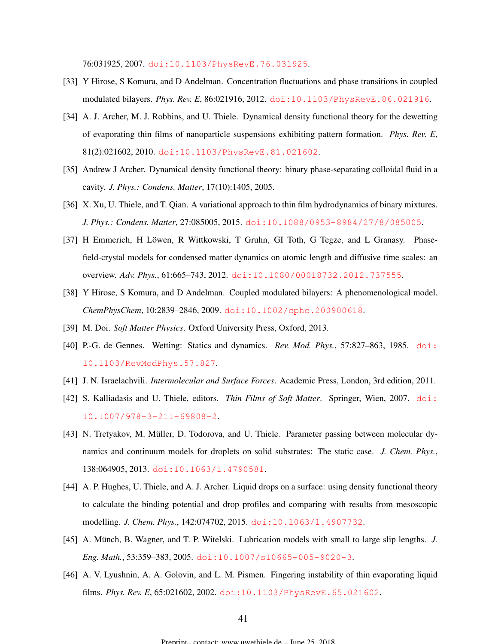76:031925, 2007. [doi:10.1103/PhysRevE.76.031925](http://dx.doi.org/10.1103/PhysRevE.76.031925).

- <span id="page-40-0"></span>[33] Y Hirose, S Komura, and D Andelman. Concentration fluctuations and phase transitions in coupled modulated bilayers. *Phys. Rev. E*, 86:021916, 2012. [doi:10.1103/PhysRevE.86.021916](http://dx.doi.org/10.1103/PhysRevE.86.021916).
- [34] A. J. Archer, M. J. Robbins, and U. Thiele. Dynamical density functional theory for the dewetting of evaporating thin films of nanoparticle suspensions exhibiting pattern formation. *Phys. Rev. E*, 81(2):021602, 2010. [doi:10.1103/PhysRevE.81.021602](http://dx.doi.org/10.1103/PhysRevE.81.021602).
- [35] Andrew J Archer. Dynamical density functional theory: binary phase-separating colloidal fluid in a cavity. *J. Phys.: Condens. Matter*, 17(10):1405, 2005.
- [36] X. Xu, U. Thiele, and T. Qian. A variational approach to thin film hydrodynamics of binary mixtures. *J. Phys.: Condens. Matter*, 27:085005, 2015. [doi:10.1088/0953-8984/27/8/085005](http://dx.doi.org/10.1088/0953-8984/27/8/085005).
- [37] H Emmerich, H Löwen, R Wittkowski, T Gruhn, GI Toth, G Tegze, and L Granasy. Phasefield-crystal models for condensed matter dynamics on atomic length and diffusive time scales: an overview. *Adv. Phys.*, 61:665–743, 2012. [doi:10.1080/00018732.2012.737555](http://dx.doi.org/10.1080/00018732.2012.737555).
- [38] Y Hirose, S Komura, and D Andelman. Coupled modulated bilayers: A phenomenological model. *ChemPhysChem*, 10:2839–2846, 2009. [doi:10.1002/cphc.200900618](http://dx.doi.org/10.1002/cphc.200900618).
- [39] M. Doi. *Soft Matter Physics*. Oxford University Press, Oxford, 2013.
- [40] P.-G. de Gennes. Wetting: Statics and dynamics. *Rev. Mod. Phys.*, 57:827–863, 1985. [doi:](http://dx.doi.org/10.1103/RevModPhys.57.827) [10.1103/RevModPhys.57.827](http://dx.doi.org/10.1103/RevModPhys.57.827).
- [41] J. N. Israelachvili. *Intermolecular and Surface Forces*. Academic Press, London, 3rd edition, 2011.
- [42] S. Kalliadasis and U. Thiele, editors. *Thin Films of Soft Matter*. Springer, Wien, 2007. [doi:](http://dx.doi.org/10.1007/978-3-211-69808-2) [10.1007/978-3-211-69808-2](http://dx.doi.org/10.1007/978-3-211-69808-2).
- [43] N. Tretyakov, M. Müller, D. Todorova, and U. Thiele. Parameter passing between molecular dynamics and continuum models for droplets on solid substrates: The static case. *J. Chem. Phys.*, 138:064905, 2013. [doi:10.1063/1.4790581](http://dx.doi.org/10.1063/1.4790581).
- [44] A. P. Hughes, U. Thiele, and A. J. Archer. Liquid drops on a surface: using density functional theory to calculate the binding potential and drop profiles and comparing with results from mesoscopic modelling. *J. Chem. Phys.*, 142:074702, 2015. [doi:10.1063/1.4907732](http://dx.doi.org/10.1063/1.4907732).
- [45] A. Münch, B. Wagner, and T. P. Witelski. Lubrication models with small to large slip lengths. *J. Eng. Math.*, 53:359–383, 2005. [doi:10.1007/s10665-005-9020-3](http://dx.doi.org/10.1007/s10665-005-9020-3).
- [46] A. V. Lyushnin, A. A. Golovin, and L. M. Pismen. Fingering instability of thin evaporating liquid films. *Phys. Rev. E*, 65:021602, 2002. [doi:10.1103/PhysRevE.65.021602](http://dx.doi.org/10.1103/PhysRevE.65.021602).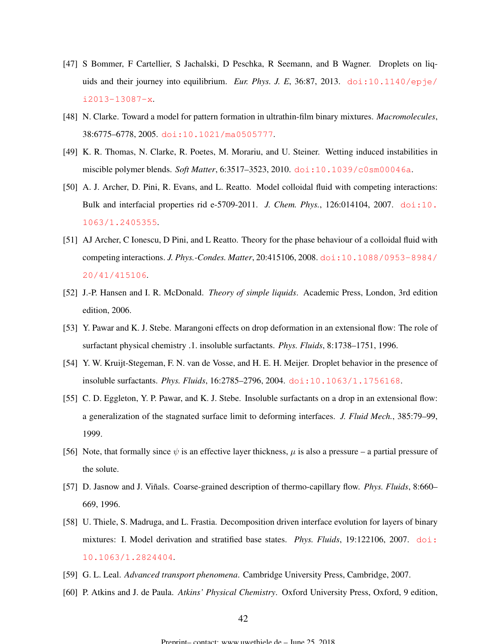- <span id="page-41-0"></span>[47] S Bommer, F Cartellier, S Jachalski, D Peschka, R Seemann, and B Wagner. Droplets on liquids and their journey into equilibrium. *Eur. Phys. J. E.*, 36:87, 2013. [doi:10.1140/epje/](http://dx.doi.org/10.1140/epje/i2013-13087-x) [i2013-13087-x](http://dx.doi.org/10.1140/epje/i2013-13087-x).
- [48] N. Clarke. Toward a model for pattern formation in ultrathin-film binary mixtures. *Macromolecules*, 38:6775–6778, 2005. [doi:10.1021/ma0505777](http://dx.doi.org/10.1021/ma0505777).
- [49] K. R. Thomas, N. Clarke, R. Poetes, M. Morariu, and U. Steiner. Wetting induced instabilities in miscible polymer blends. *Soft Matter*, 6:3517–3523, 2010. [doi:10.1039/c0sm00046a](http://dx.doi.org/10.1039/c0sm00046a).
- [50] A. J. Archer, D. Pini, R. Evans, and L. Reatto. Model colloidal fluid with competing interactions: Bulk and interfacial properties rid e-5709-2011. *J. Chem. Phys.*, 126:014104, 2007. [doi:10.](http://dx.doi.org/10.1063/1.2405355) [1063/1.2405355](http://dx.doi.org/10.1063/1.2405355).
- [51] AJ Archer, C Ionescu, D Pini, and L Reatto. Theory for the phase behaviour of a colloidal fluid with competing interactions. *J. Phys.-Condes. Matter*, 20:415106, 2008. [doi:10.1088/0953-8984/](http://dx.doi.org/10.1088/0953-8984/20/41/415106) [20/41/415106](http://dx.doi.org/10.1088/0953-8984/20/41/415106).
- [52] J.-P. Hansen and I. R. McDonald. *Theory of simple liquids*. Academic Press, London, 3rd edition edition, 2006.
- [53] Y. Pawar and K. J. Stebe. Marangoni effects on drop deformation in an extensional flow: The role of surfactant physical chemistry .1. insoluble surfactants. *Phys. Fluids*, 8:1738–1751, 1996.
- [54] Y. W. Kruijt-Stegeman, F. N. van de Vosse, and H. E. H. Meijer. Droplet behavior in the presence of insoluble surfactants. *Phys. Fluids*, 16:2785–2796, 2004. [doi:10.1063/1.1756168](http://dx.doi.org/10.1063/1.1756168).
- [55] C. D. Eggleton, Y. P. Pawar, and K. J. Stebe. Insoluble surfactants on a drop in an extensional flow: a generalization of the stagnated surface limit to deforming interfaces. *J. Fluid Mech.*, 385:79–99, 1999.
- [56] Note, that formally since  $\psi$  is an effective layer thickness,  $\mu$  is also a pressure a partial pressure of the solute.
- [57] D. Jasnow and J. Viñals. Coarse-grained description of thermo-capillary flow. Phys. Fluids, 8:660– 669, 1996.
- [58] U. Thiele, S. Madruga, and L. Frastia. Decomposition driven interface evolution for layers of binary mixtures: I. Model derivation and stratified base states. *Phys. Fluids*, 19:122106, 2007. [doi:](http://dx.doi.org/10.1063/1.2824404) [10.1063/1.2824404](http://dx.doi.org/10.1063/1.2824404).
- [59] G. L. Leal. *Advanced transport phenomena*. Cambridge University Press, Cambridge, 2007.
- [60] P. Atkins and J. de Paula. *Atkins' Physical Chemistry*. Oxford University Press, Oxford, 9 edition,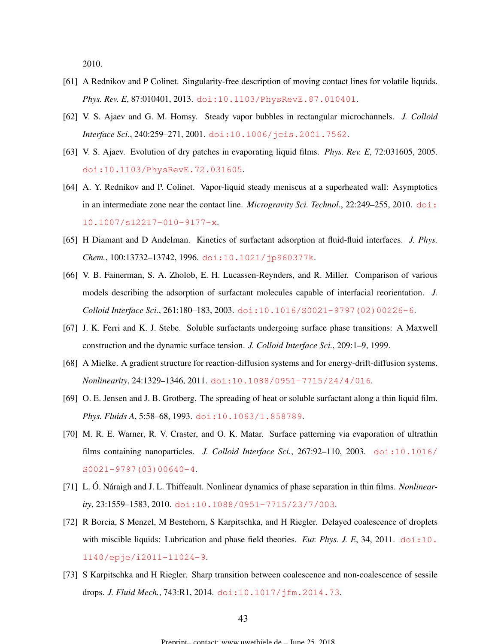2010.

- <span id="page-42-0"></span>[61] A Rednikov and P Colinet. Singularity-free description of moving contact lines for volatile liquids. *Phys. Rev. E*, 87:010401, 2013. [doi:10.1103/PhysRevE.87.010401](http://dx.doi.org/10.1103/PhysRevE.87.010401).
- [62] V. S. Ajaev and G. M. Homsy. Steady vapor bubbles in rectangular microchannels. *J. Colloid Interface Sci.*, 240:259–271, 2001. [doi:10.1006/jcis.2001.7562](http://dx.doi.org/10.1006/jcis.2001.7562).
- [63] V. S. Ajaev. Evolution of dry patches in evaporating liquid films. *Phys. Rev. E*, 72:031605, 2005. [doi:10.1103/PhysRevE.72.031605](http://dx.doi.org/10.1103/PhysRevE.72.031605).
- [64] A. Y. Rednikov and P. Colinet. Vapor-liquid steady meniscus at a superheated wall: Asymptotics in an intermediate zone near the contact line. *Microgravity Sci. Technol.*, 22:249–255, 2010. [doi:](http://dx.doi.org/10.1007/s12217-010-9177-x) [10.1007/s12217-010-9177-x](http://dx.doi.org/10.1007/s12217-010-9177-x).
- [65] H Diamant and D Andelman. Kinetics of surfactant adsorption at fluid-fluid interfaces. *J. Phys. Chem.*, 100:13732–13742, 1996. [doi:10.1021/jp960377k](http://dx.doi.org/10.1021/jp960377k).
- [66] V. B. Fainerman, S. A. Zholob, E. H. Lucassen-Reynders, and R. Miller. Comparison of various models describing the adsorption of surfactant molecules capable of interfacial reorientation. *J. Colloid Interface Sci.*, 261:180–183, 2003. [doi:10.1016/S0021-9797\(02\)00226-6](http://dx.doi.org/10.1016/S0021-9797(02)00226-6).
- [67] J. K. Ferri and K. J. Stebe. Soluble surfactants undergoing surface phase transitions: A Maxwell construction and the dynamic surface tension. *J. Colloid Interface Sci.*, 209:1–9, 1999.
- [68] A Mielke. A gradient structure for reaction-diffusion systems and for energy-drift-diffusion systems. *Nonlinearity*, 24:1329–1346, 2011. [doi:10.1088/0951-7715/24/4/016](http://dx.doi.org/10.1088/0951-7715/24/4/016).
- [69] O. E. Jensen and J. B. Grotberg. The spreading of heat or soluble surfactant along a thin liquid film. *Phys. Fluids A*, 5:58–68, 1993. [doi:10.1063/1.858789](http://dx.doi.org/10.1063/1.858789).
- [70] M. R. E. Warner, R. V. Craster, and O. K. Matar. Surface patterning via evaporation of ultrathin films containing nanoparticles. *J. Colloid Interface Sci.*, 267:92–110, 2003. [doi:10.1016/](http://dx.doi.org/10.1016/S0021-9797(03)00640-4) [S0021-9797\(03\)00640-4](http://dx.doi.org/10.1016/S0021-9797(03)00640-4).
- [71] L. Ó. Náraigh and J. L. Thiffeault. Nonlinear dynamics of phase separation in thin films. Nonlinear*ity*, 23:1559–1583, 2010. [doi:10.1088/0951-7715/23/7/003](http://dx.doi.org/10.1088/0951-7715/23/7/003).
- [72] R Borcia, S Menzel, M Bestehorn, S Karpitschka, and H Riegler. Delayed coalescence of droplets with miscible liquids: Lubrication and phase field theories. *Eur. Phys. J. E.*, 34, 2011. [doi:10.](http://dx.doi.org/10.1140/epje/i2011-11024-9) [1140/epje/i2011-11024-9](http://dx.doi.org/10.1140/epje/i2011-11024-9).
- [73] S Karpitschka and H Riegler. Sharp transition between coalescence and non-coalescence of sessile drops. *J. Fluid Mech.*, 743:R1, 2014. [doi:10.1017/jfm.2014.73](http://dx.doi.org/10.1017/jfm.2014.73).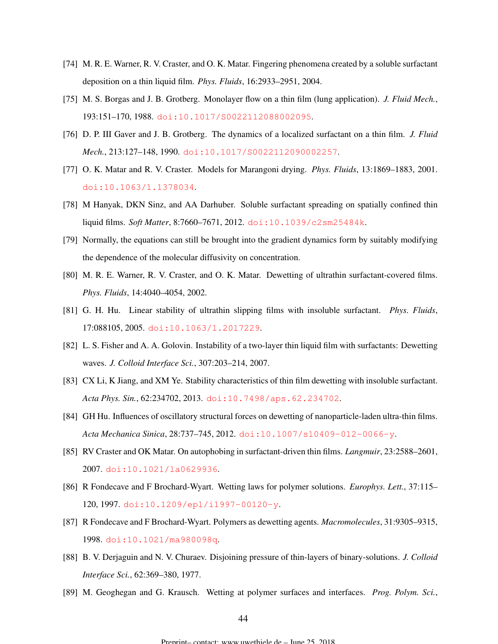- <span id="page-43-0"></span>[74] M. R. E. Warner, R. V. Craster, and O. K. Matar. Fingering phenomena created by a soluble surfactant deposition on a thin liquid film. *Phys. Fluids*, 16:2933–2951, 2004.
- [75] M. S. Borgas and J. B. Grotberg. Monolayer flow on a thin film (lung application). *J. Fluid Mech.*, 193:151–170, 1988. [doi:10.1017/S0022112088002095](http://dx.doi.org/10.1017/S0022112088002095).
- [76] D. P. III Gaver and J. B. Grotberg. The dynamics of a localized surfactant on a thin film. *J. Fluid Mech.*, 213:127–148, 1990. [doi:10.1017/S0022112090002257](http://dx.doi.org/10.1017/S0022112090002257).
- [77] O. K. Matar and R. V. Craster. Models for Marangoni drying. *Phys. Fluids*, 13:1869–1883, 2001. [doi:10.1063/1.1378034](http://dx.doi.org/10.1063/1.1378034).
- [78] M Hanyak, DKN Sinz, and AA Darhuber. Soluble surfactant spreading on spatially confined thin liquid films. *Soft Matter*, 8:7660–7671, 2012. [doi:10.1039/c2sm25484k](http://dx.doi.org/10.1039/c2sm25484k).
- [79] Normally, the equations can still be brought into the gradient dynamics form by suitably modifying the dependence of the molecular diffusivity on concentration.
- [80] M. R. E. Warner, R. V. Craster, and O. K. Matar. Dewetting of ultrathin surfactant-covered films. *Phys. Fluids*, 14:4040–4054, 2002.
- [81] G. H. Hu. Linear stability of ultrathin slipping films with insoluble surfactant. *Phys. Fluids*, 17:088105, 2005. [doi:10.1063/1.2017229](http://dx.doi.org/10.1063/1.2017229).
- [82] L. S. Fisher and A. A. Golovin. Instability of a two-layer thin liquid film with surfactants: Dewetting waves. *J. Colloid Interface Sci.*, 307:203–214, 2007.
- [83] CX Li, K Jiang, and XM Ye. Stability characteristics of thin film dewetting with insoluble surfactant. *Acta Phys. Sin.*, 62:234702, 2013. [doi:10.7498/aps.62.234702](http://dx.doi.org/10.7498/aps.62.234702).
- [84] GH Hu. Influences of oscillatory structural forces on dewetting of nanoparticle-laden ultra-thin films. *Acta Mechanica Sinica*, 28:737–745, 2012. [doi:10.1007/s10409-012-0066-y](http://dx.doi.org/10.1007/s10409-012-0066-y).
- [85] RV Craster and OK Matar. On autophobing in surfactant-driven thin films. *Langmuir*, 23:2588–2601, 2007. [doi:10.1021/la0629936](http://dx.doi.org/10.1021/la0629936).
- [86] R Fondecave and F Brochard-Wyart. Wetting laws for polymer solutions. *Europhys. Lett.*, 37:115– 120, 1997. [doi:10.1209/epl/i1997-00120-y](http://dx.doi.org/10.1209/epl/i1997-00120-y).
- [87] R Fondecave and F Brochard-Wyart. Polymers as dewetting agents. *Macromolecules*, 31:9305–9315, 1998. [doi:10.1021/ma980098q](http://dx.doi.org/10.1021/ma980098q).
- [88] B. V. Derjaguin and N. V. Churaev. Disjoining pressure of thin-layers of binary-solutions. *J. Colloid Interface Sci.*, 62:369–380, 1977.
- [89] M. Geoghegan and G. Krausch. Wetting at polymer surfaces and interfaces. *Prog. Polym. Sci.*,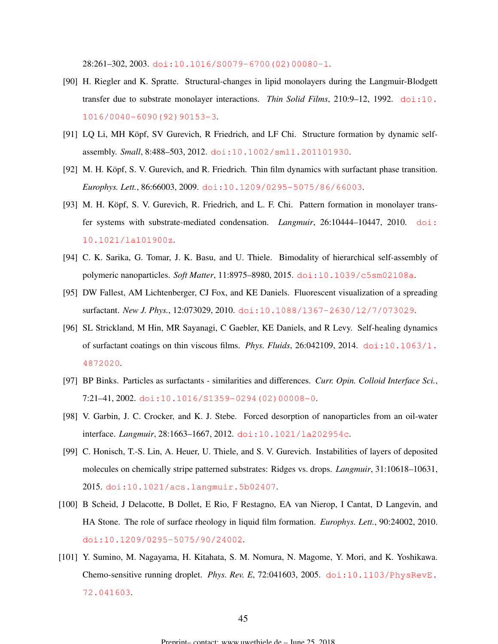28:261–302, 2003. [doi:10.1016/S0079-6700\(02\)00080-1](http://dx.doi.org/10.1016/S0079-6700(02)00080-1).

- <span id="page-44-0"></span>[90] H. Riegler and K. Spratte. Structural-changes in lipid monolayers during the Langmuir-Blodgett transfer due to substrate monolayer interactions. *Thin Solid Films*, 210:9–12, 1992. [doi:10.](http://dx.doi.org/10.1016/0040-6090(92)90153-3) [1016/0040-6090\(92\)90153-3](http://dx.doi.org/10.1016/0040-6090(92)90153-3).
- [91] LQ Li, MH Köpf, SV Gurevich, R Friedrich, and LF Chi. Structure formation by dynamic selfassembly. *Small*, 8:488–503, 2012. [doi:10.1002/smll.201101930](http://dx.doi.org/10.1002/smll.201101930).
- [92] M. H. Köpf, S. V. Gurevich, and R. Friedrich. Thin film dynamics with surfactant phase transition. *Europhys. Lett.*, 86:66003, 2009. [doi:10.1209/0295-5075/86/66003](http://dx.doi.org/10.1209/0295-5075/86/66003).
- [93] M. H. Köpf, S. V. Gurevich, R. Friedrich, and L. F. Chi. Pattern formation in monolayer transfer systems with substrate-mediated condensation. *Langmuir*, 26:10444–10447, 2010. [doi:](http://dx.doi.org/10.1021/la101900z) [10.1021/la101900z](http://dx.doi.org/10.1021/la101900z).
- [94] C. K. Sarika, G. Tomar, J. K. Basu, and U. Thiele. Bimodality of hierarchical self-assembly of polymeric nanoparticles. *Soft Matter*, 11:8975–8980, 2015. [doi:10.1039/c5sm02108a](http://dx.doi.org/10.1039/c5sm02108a).
- [95] DW Fallest, AM Lichtenberger, CJ Fox, and KE Daniels. Fluorescent visualization of a spreading surfactant. *New J. Phys.*, 12:073029, 2010. [doi:10.1088/1367-2630/12/7/073029](http://dx.doi.org/10.1088/1367-2630/12/7/073029).
- [96] SL Strickland, M Hin, MR Sayanagi, C Gaebler, KE Daniels, and R Levy. Self-healing dynamics of surfactant coatings on thin viscous films. *Phys. Fluids*, 26:042109, 2014. [doi:10.1063/1.](http://dx.doi.org/10.1063/1.4872020) [4872020](http://dx.doi.org/10.1063/1.4872020).
- [97] BP Binks. Particles as surfactants similarities and differences. *Curr. Opin. Colloid Interface Sci.*, 7:21–41, 2002. [doi:10.1016/S1359-0294\(02\)00008-0](http://dx.doi.org/10.1016/S1359-0294(02)00008-0).
- [98] V. Garbin, J. C. Crocker, and K. J. Stebe. Forced desorption of nanoparticles from an oil-water interface. *Langmuir*, 28:1663–1667, 2012. [doi:10.1021/la202954c](http://dx.doi.org/10.1021/la202954c).
- [99] C. Honisch, T.-S. Lin, A. Heuer, U. Thiele, and S. V. Gurevich. Instabilities of layers of deposited molecules on chemically stripe patterned substrates: Ridges vs. drops. *Langmuir*, 31:10618–10631, 2015. [doi:10.1021/acs.langmuir.5b02407](http://dx.doi.org/10.1021/acs.langmuir.5b02407).
- [100] B Scheid, J Delacotte, B Dollet, E Rio, F Restagno, EA van Nierop, I Cantat, D Langevin, and HA Stone. The role of surface rheology in liquid film formation. *Europhys. Lett.*, 90:24002, 2010. [doi:10.1209/0295-5075/90/24002](http://dx.doi.org/10.1209/0295-5075/90/24002).
- [101] Y. Sumino, M. Nagayama, H. Kitahata, S. M. Nomura, N. Magome, Y. Mori, and K. Yoshikawa. Chemo-sensitive running droplet. *Phys. Rev. E*, 72:041603, 2005. [doi:10.1103/PhysRevE.](http://dx.doi.org/10.1103/PhysRevE.72.041603) [72.041603](http://dx.doi.org/10.1103/PhysRevE.72.041603).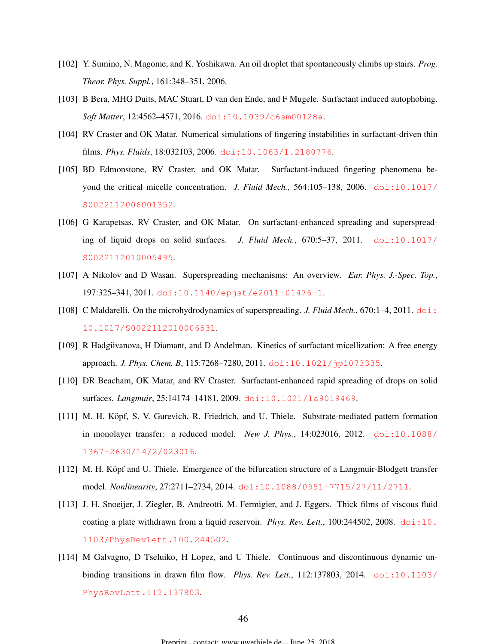- <span id="page-45-0"></span>[102] Y. Sumino, N. Magome, and K. Yoshikawa. An oil droplet that spontaneously climbs up stairs. *Prog. Theor. Phys. Suppl.*, 161:348–351, 2006.
- [103] B Bera, MHG Duits, MAC Stuart, D van den Ende, and F Mugele. Surfactant induced autophobing. *Soft Matter*, 12:4562–4571, 2016. [doi:10.1039/c6sm00128a](http://dx.doi.org/10.1039/c6sm00128a).
- [104] RV Craster and OK Matar. Numerical simulations of fingering instabilities in surfactant-driven thin films. *Phys. Fluids*, 18:032103, 2006. [doi:10.1063/1.2180776](http://dx.doi.org/10.1063/1.2180776).
- [105] BD Edmonstone, RV Craster, and OK Matar. Surfactant-induced fingering phenomena beyond the critical micelle concentration. *J. Fluid Mech.*, 564:105-138, 2006. [doi:10.1017/](http://dx.doi.org/10.1017/S0022112006001352) [S0022112006001352](http://dx.doi.org/10.1017/S0022112006001352).
- [106] G Karapetsas, RV Craster, and OK Matar. On surfactant-enhanced spreading and superspreading of liquid drops on solid surfaces. *J. Fluid Mech.*, 670:5–37, 2011. [doi:10.1017/](http://dx.doi.org/10.1017/S0022112010005495) [S0022112010005495](http://dx.doi.org/10.1017/S0022112010005495).
- [107] A Nikolov and D Wasan. Superspreading mechanisms: An overview. *Eur. Phys. J.-Spec. Top.*, 197:325–341, 2011. [doi:10.1140/epjst/e2011-01476-1](http://dx.doi.org/10.1140/epjst/e2011-01476-1).
- [108] C Maldarelli. On the microhydrodynamics of superspreading. *J. Fluid Mech.*, 670:1–4, 2011. [doi:](http://dx.doi.org/10.1017/S0022112010006531) [10.1017/S0022112010006531](http://dx.doi.org/10.1017/S0022112010006531).
- [109] R Hadgiivanova, H Diamant, and D Andelman. Kinetics of surfactant micellization: A free energy approach. *J. Phys. Chem. B*, 115:7268–7280, 2011. [doi:10.1021/jp1073335](http://dx.doi.org/10.1021/jp1073335).
- [110] DR Beacham, OK Matar, and RV Craster. Surfactant-enhanced rapid spreading of drops on solid surfaces. *Langmuir*, 25:14174–14181, 2009. [doi:10.1021/la9019469](http://dx.doi.org/10.1021/la9019469).
- [111] M. H. Köpf, S. V. Gurevich, R. Friedrich, and U. Thiele. Substrate-mediated pattern formation in monolayer transfer: a reduced model. *New J. Phys.*, 14:023016, 2012. [doi:10.1088/](http://dx.doi.org/10.1088/1367-2630/14/2/023016) [1367-2630/14/2/023016](http://dx.doi.org/10.1088/1367-2630/14/2/023016).
- [112] M. H. Köpf and U. Thiele. Emergence of the bifurcation structure of a Langmuir-Blodgett transfer model. *Nonlinearity*, 27:2711–2734, 2014. [doi:10.1088/0951-7715/27/11/2711](http://dx.doi.org/10.1088/0951-7715/27/11/2711).
- [113] J. H. Snoeijer, J. Ziegler, B. Andreotti, M. Fermigier, and J. Eggers. Thick films of viscous fluid coating a plate withdrawn from a liquid reservoir. *Phys. Rev. Lett.*, 100:244502, 2008. [doi:10.](http://dx.doi.org/10.1103/PhysRevLett.100.244502) [1103/PhysRevLett.100.244502](http://dx.doi.org/10.1103/PhysRevLett.100.244502).
- [114] M Galvagno, D Tseluiko, H Lopez, and U Thiele. Continuous and discontinuous dynamic unbinding transitions in drawn film flow. *Phys. Rev. Lett.*, 112:137803, 2014. [doi:10.1103/](http://dx.doi.org/10.1103/PhysRevLett.112.137803) [PhysRevLett.112.137803](http://dx.doi.org/10.1103/PhysRevLett.112.137803).